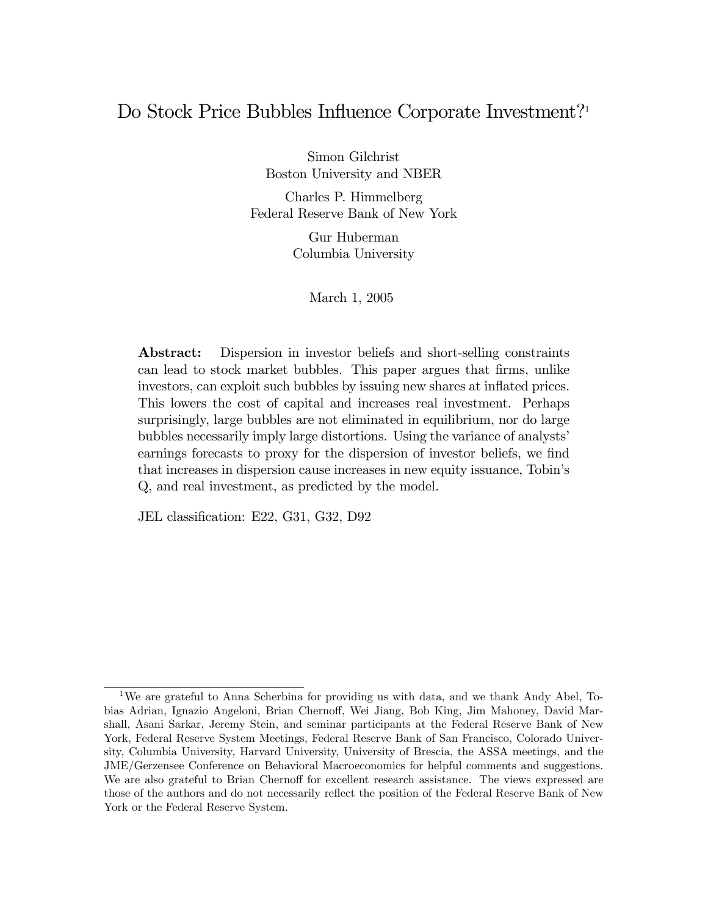### Do Stock Price Bubbles Influence Corporate Investment?<sup>1</sup>

Simon Gilchrist Boston University and NBER

Charles P. Himmelberg Federal Reserve Bank of New York

> Gur Huberman Columbia University

> > March 1, 2005

Abstract: Dispersion in investor beliefs and short-selling constraints can lead to stock market bubbles. This paper argues that firms, unlike investors, can exploit such bubbles by issuing new shares at inflated prices. This lowers the cost of capital and increases real investment. Perhaps surprisingly, large bubbles are not eliminated in equilibrium, nor do large bubbles necessarily imply large distortions. Using the variance of analysts' earnings forecasts to proxy for the dispersion of investor beliefs, we find that increases in dispersion cause increases in new equity issuance, Tobin's Q, and real investment, as predicted by the model.

JEL classification: E22, G31, G32, D92

<sup>1</sup>We are grateful to Anna Scherbina for providing us with data, and we thank Andy Abel, Tobias Adrian, Ignazio Angeloni, Brian Chernoff, Wei Jiang, Bob King, Jim Mahoney, David Marshall, Asani Sarkar, Jeremy Stein, and seminar participants at the Federal Reserve Bank of New York, Federal Reserve System Meetings, Federal Reserve Bank of San Francisco, Colorado University, Columbia University, Harvard University, University of Brescia, the ASSA meetings, and the JME/Gerzensee Conference on Behavioral Macroeconomics for helpful comments and suggestions. We are also grateful to Brian Chernoff for excellent research assistance. The views expressed are those of the authors and do not necessarily reflect the position of the Federal Reserve Bank of New York or the Federal Reserve System.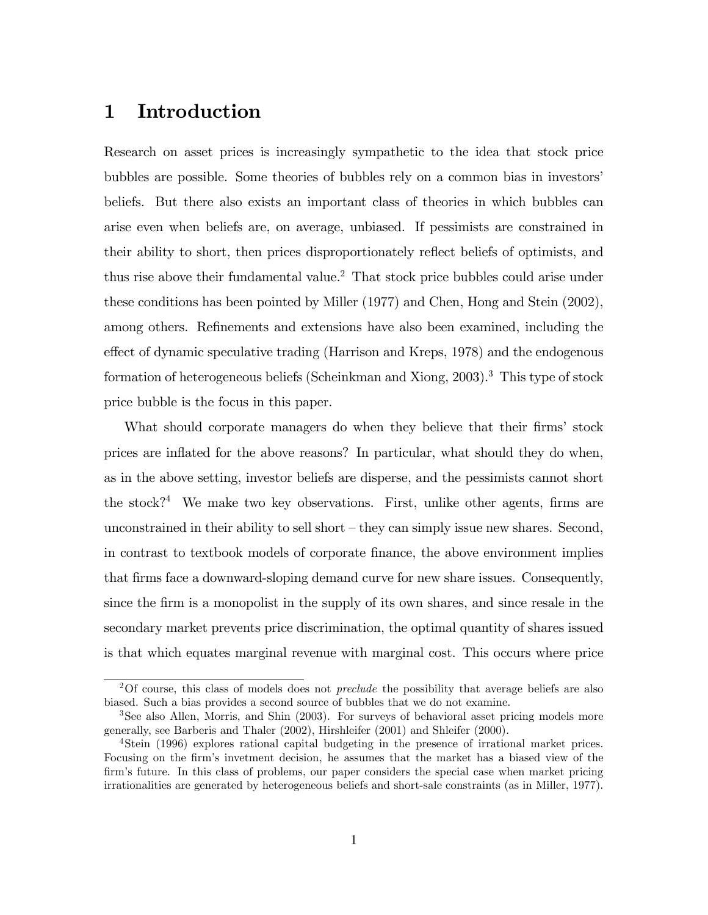# 1 Introduction

Research on asset prices is increasingly sympathetic to the idea that stock price bubbles are possible. Some theories of bubbles rely on a common bias in investors' beliefs. But there also exists an important class of theories in which bubbles can arise even when beliefs are, on average, unbiased. If pessimists are constrained in their ability to short, then prices disproportionately reflect beliefs of optimists, and thus rise above their fundamental value.<sup>2</sup> That stock price bubbles could arise under these conditions has been pointed by Miller (1977) and Chen, Hong and Stein (2002), among others. Refinements and extensions have also been examined, including the effect of dynamic speculative trading (Harrison and Kreps, 1978) and the endogenous formation of heterogeneous beliefs (Scheinkman and Xiong, 2003).<sup>3</sup> This type of stock price bubble is the focus in this paper.

What should corporate managers do when they believe that their firms' stock prices are inflated for the above reasons? In particular, what should they do when, as in the above setting, investor beliefs are disperse, and the pessimists cannot short the stock?<sup>4</sup> We make two key observations. First, unlike other agents, firms are unconstrained in their ability to sell short  $-\text{they}$  can simply issue new shares. Second, in contrast to textbook models of corporate Önance, the above environment implies that firms face a downward-sloping demand curve for new share issues. Consequently, since the firm is a monopolist in the supply of its own shares, and since resale in the secondary market prevents price discrimination, the optimal quantity of shares issued is that which equates marginal revenue with marginal cost. This occurs where price

<sup>&</sup>lt;sup>2</sup>Of course, this class of models does not *preclude* the possibility that average beliefs are also biased. Such a bias provides a second source of bubbles that we do not examine.

<sup>3</sup>See also Allen, Morris, and Shin (2003). For surveys of behavioral asset pricing models more generally, see Barberis and Thaler (2002), Hirshleifer (2001) and Shleifer (2000).

<sup>4</sup>Stein (1996) explores rational capital budgeting in the presence of irrational market prices. Focusing on the firm's invetment decision, he assumes that the market has a biased view of the firm's future. In this class of problems, our paper considers the special case when market pricing irrationalities are generated by heterogeneous beliefs and short-sale constraints (as in Miller, 1977).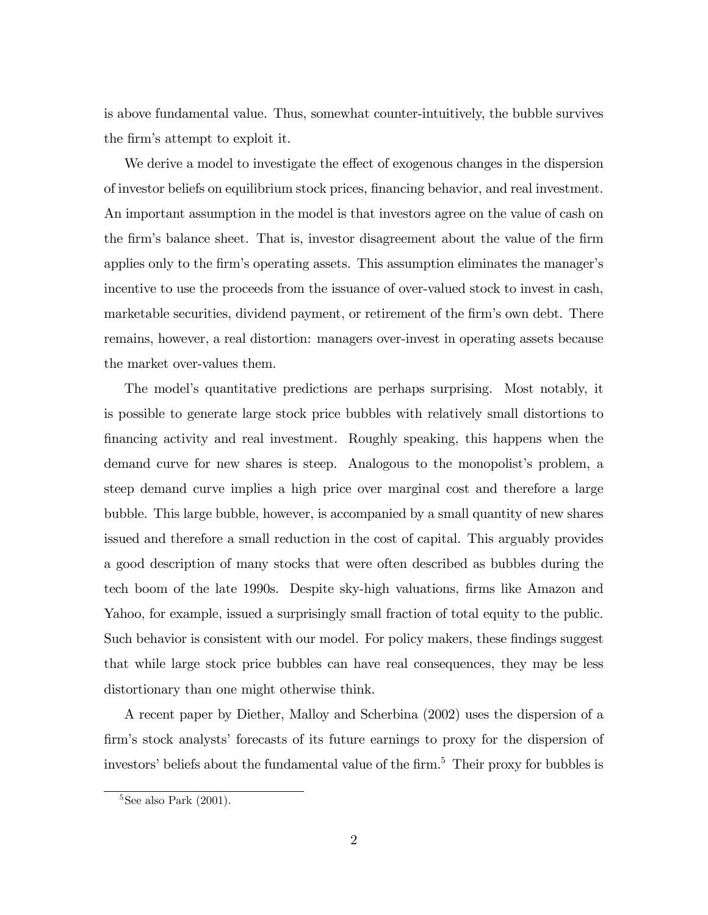is above fundamental value. Thus, somewhat counter-intuitively, the bubble survives the firm's attempt to exploit it.

We derive a model to investigate the effect of exogenous changes in the dispersion of investor beliefs on equilibrium stock prices, Önancing behavior, and real investment. An important assumption in the model is that investors agree on the value of cash on the firm's balance sheet. That is, investor disagreement about the value of the firm applies only to the firm's operating assets. This assumption eliminates the manager's incentive to use the proceeds from the issuance of over-valued stock to invest in cash, marketable securities, dividend payment, or retirement of the firm's own debt. There remains, however, a real distortion: managers over-invest in operating assets because the market over-values them.

The model's quantitative predictions are perhaps surprising. Most notably, it is possible to generate large stock price bubbles with relatively small distortions to Önancing activity and real investment. Roughly speaking, this happens when the demand curve for new shares is steep. Analogous to the monopolist's problem, a steep demand curve implies a high price over marginal cost and therefore a large bubble. This large bubble, however, is accompanied by a small quantity of new shares issued and therefore a small reduction in the cost of capital. This arguably provides a good description of many stocks that were often described as bubbles during the tech boom of the late 1990s. Despite sky-high valuations, firms like Amazon and Yahoo, for example, issued a surprisingly small fraction of total equity to the public. Such behavior is consistent with our model. For policy makers, these findings suggest that while large stock price bubbles can have real consequences, they may be less distortionary than one might otherwise think.

A recent paper by Diether, Malloy and Scherbina (2002) uses the dispersion of a firm's stock analysts' forecasts of its future earnings to proxy for the dispersion of investors' beliefs about the fundamental value of the firm.<sup>5</sup> Their proxy for bubbles is

 $5$ See also Park (2001).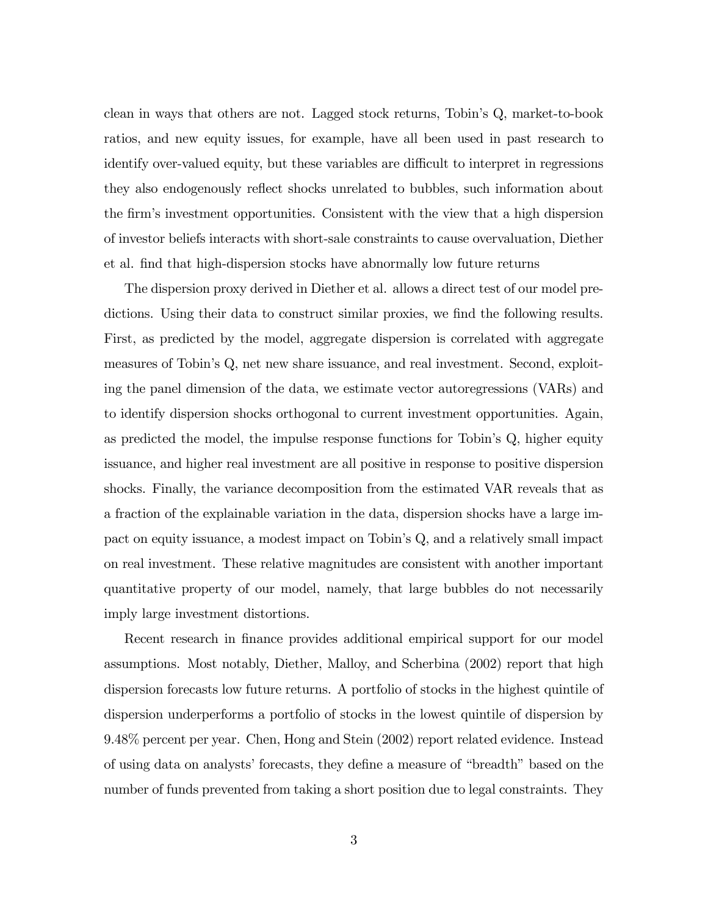clean in ways that others are not. Lagged stock returns, Tobin's Q, market-to-book ratios, and new equity issues, for example, have all been used in past research to identify over-valued equity, but these variables are difficult to interpret in regressions they also endogenously reflect shocks unrelated to bubbles, such information about the Örmís investment opportunities. Consistent with the view that a high dispersion of investor beliefs interacts with short-sale constraints to cause overvaluation, Diether et al. Önd that high-dispersion stocks have abnormally low future returns

The dispersion proxy derived in Diether et al. allows a direct test of our model predictions. Using their data to construct similar proxies, we find the following results. First, as predicted by the model, aggregate dispersion is correlated with aggregate measures of Tobin's Q, net new share issuance, and real investment. Second, exploiting the panel dimension of the data, we estimate vector autoregressions (VARs) and to identify dispersion shocks orthogonal to current investment opportunities. Again, as predicted the model, the impulse response functions for Tobin's Q, higher equity issuance, and higher real investment are all positive in response to positive dispersion shocks. Finally, the variance decomposition from the estimated VAR reveals that as a fraction of the explainable variation in the data, dispersion shocks have a large impact on equity issuance, a modest impact on Tobin's Q, and a relatively small impact on real investment. These relative magnitudes are consistent with another important quantitative property of our model, namely, that large bubbles do not necessarily imply large investment distortions.

Recent research in finance provides additional empirical support for our model assumptions. Most notably, Diether, Malloy, and Scherbina (2002) report that high dispersion forecasts low future returns. A portfolio of stocks in the highest quintile of dispersion underperforms a portfolio of stocks in the lowest quintile of dispersion by 9.48% percent per year. Chen, Hong and Stein (2002) report related evidence. Instead of using data on analysts' forecasts, they define a measure of "breadth" based on the number of funds prevented from taking a short position due to legal constraints. They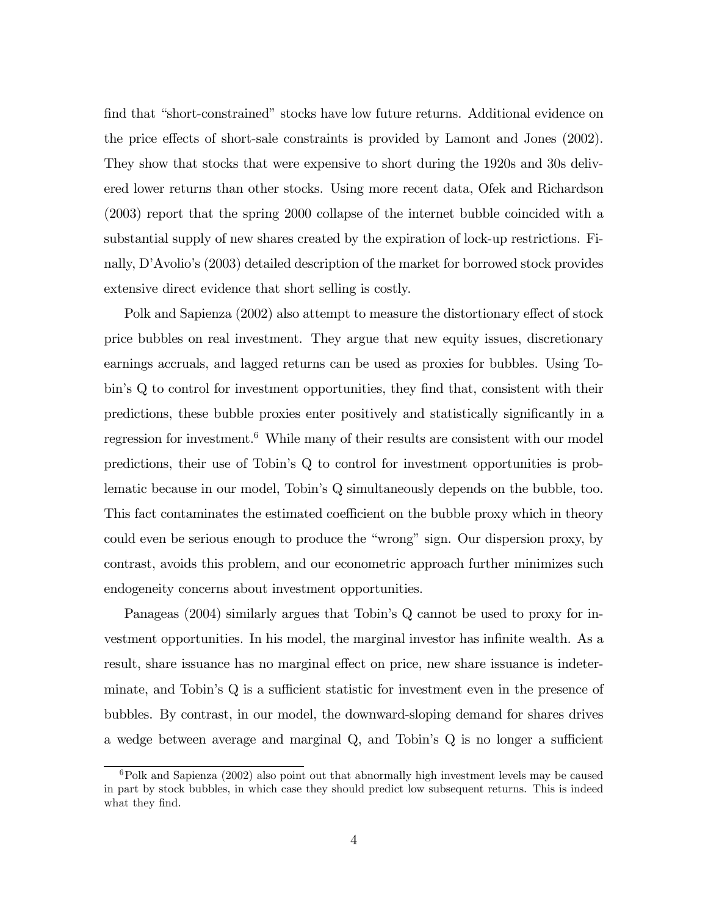find that "short-constrained" stocks have low future returns. Additional evidence on the price effects of short-sale constraints is provided by Lamont and Jones (2002). They show that stocks that were expensive to short during the 1920s and 30s delivered lower returns than other stocks. Using more recent data, Ofek and Richardson (2003) report that the spring 2000 collapse of the internet bubble coincided with a substantial supply of new shares created by the expiration of lock-up restrictions. Finally, D'Avolio's (2003) detailed description of the market for borrowed stock provides extensive direct evidence that short selling is costly.

Polk and Sapienza (2002) also attempt to measure the distortionary effect of stock price bubbles on real investment. They argue that new equity issues, discretionary earnings accruals, and lagged returns can be used as proxies for bubbles. Using Tobin's Q to control for investment opportunities, they find that, consistent with their predictions, these bubble proxies enter positively and statistically significantly in a regression for investment.<sup>6</sup> While many of their results are consistent with our model predictions, their use of Tobin's Q to control for investment opportunities is problematic because in our model, Tobin's Q simultaneously depends on the bubble, too. This fact contaminates the estimated coefficient on the bubble proxy which in theory could even be serious enough to produce the "wrong" sign. Our dispersion proxy, by contrast, avoids this problem, and our econometric approach further minimizes such endogeneity concerns about investment opportunities.

Panageas (2004) similarly argues that Tobin's Q cannot be used to proxy for investment opportunities. In his model, the marginal investor has infinite wealth. As a result, share issuance has no marginal effect on price, new share issuance is indeterminate, and Tobin's  $Q$  is a sufficient statistic for investment even in the presence of bubbles. By contrast, in our model, the downward-sloping demand for shares drives a wedge between average and marginal  $Q$ , and Tobin's  $Q$  is no longer a sufficient

 ${}^{6}$ Polk and Sapienza (2002) also point out that abnormally high investment levels may be caused in part by stock bubbles, in which case they should predict low subsequent returns. This is indeed what they find.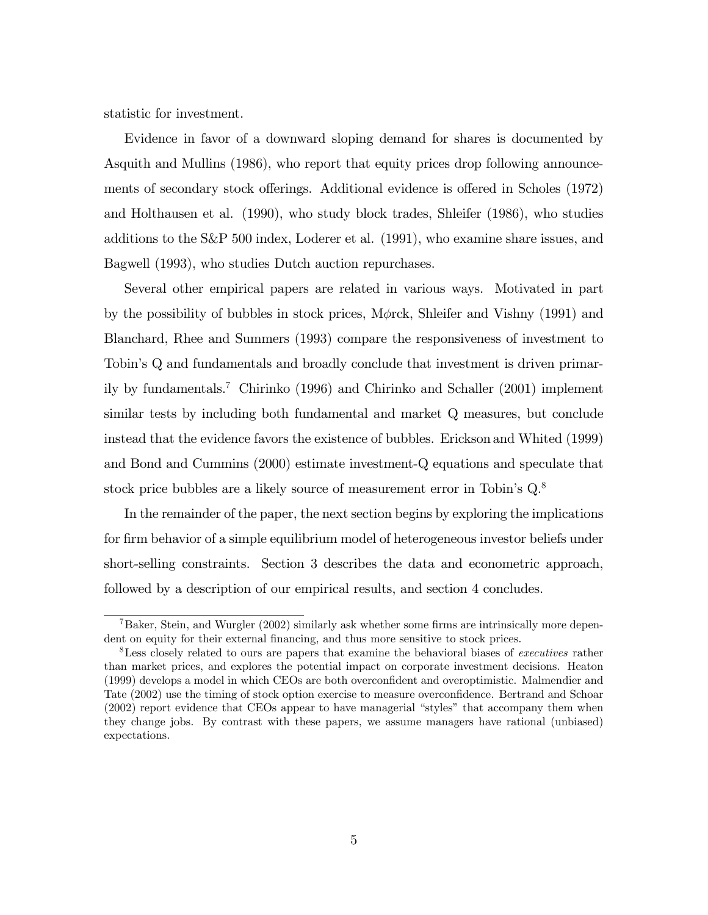statistic for investment.

Evidence in favor of a downward sloping demand for shares is documented by Asquith and Mullins (1986), who report that equity prices drop following announcements of secondary stock offerings. Additional evidence is offered in Scholes (1972) and Holthausen et al. (1990), who study block trades, Shleifer (1986), who studies additions to the S&P 500 index, Loderer et al. (1991), who examine share issues, and Bagwell (1993), who studies Dutch auction repurchases.

Several other empirical papers are related in various ways. Motivated in part by the possibility of bubbles in stock prices,  $M\phi$ rck, Shleifer and Vishny (1991) and Blanchard, Rhee and Summers (1993) compare the responsiveness of investment to Tobin's Q and fundamentals and broadly conclude that investment is driven primarily by fundamentals.<sup>7</sup> Chirinko (1996) and Chirinko and Schaller (2001) implement similar tests by including both fundamental and market Q measures, but conclude instead that the evidence favors the existence of bubbles. Erickson and Whited (1999) and Bond and Cummins (2000) estimate investment-Q equations and speculate that stock price bubbles are a likely source of measurement error in Tobin's  $Q^8$ .

In the remainder of the paper, the next section begins by exploring the implications for firm behavior of a simple equilibrium model of heterogeneous investor beliefs under short-selling constraints. Section 3 describes the data and econometric approach, followed by a description of our empirical results, and section 4 concludes.

 $7Baker$ , Stein, and Wurgler (2002) similarly ask whether some firms are intrinsically more dependent on equity for their external financing, and thus more sensitive to stock prices.

<sup>&</sup>lt;sup>8</sup>Less closely related to ours are papers that examine the behavioral biases of executives rather than market prices, and explores the potential impact on corporate investment decisions. Heaton (1999) develops a model in which CEOs are both overconfident and overoptimistic. Malmendier and Tate (2002) use the timing of stock option exercise to measure overconfidence. Bertrand and Schoar  $(2002)$  report evidence that CEOs appear to have managerial "styles" that accompany them when they change jobs. By contrast with these papers, we assume managers have rational (unbiased) expectations.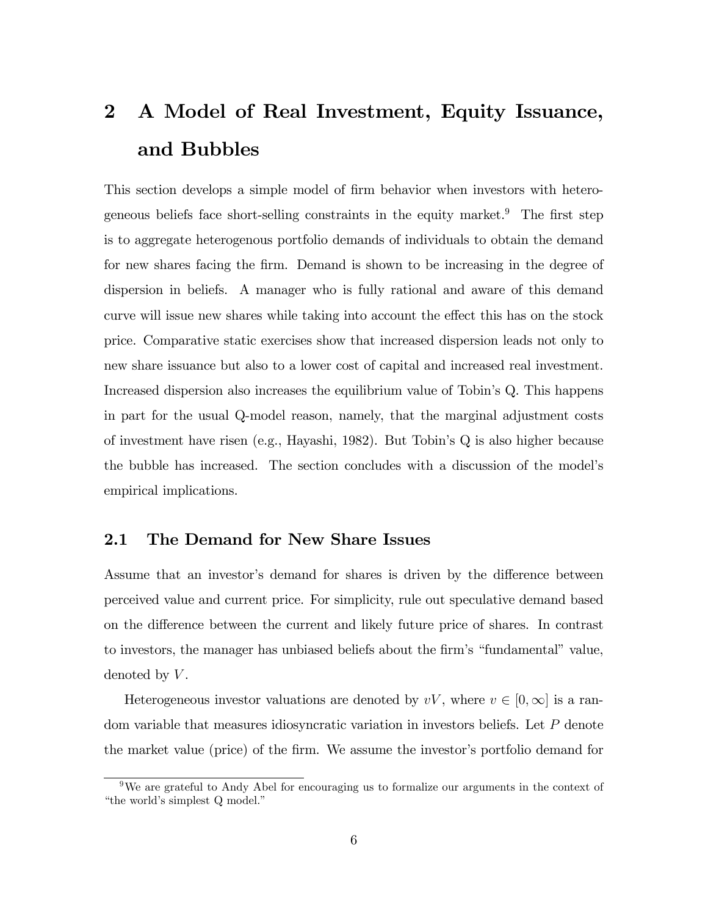# 2 A Model of Real Investment, Equity Issuance, and Bubbles

This section develops a simple model of firm behavior when investors with heterogeneous beliefs face short-selling constraints in the equity market.<sup>9</sup> The first step is to aggregate heterogenous portfolio demands of individuals to obtain the demand for new shares facing the firm. Demand is shown to be increasing in the degree of dispersion in beliefs. A manager who is fully rational and aware of this demand curve will issue new shares while taking into account the effect this has on the stock price. Comparative static exercises show that increased dispersion leads not only to new share issuance but also to a lower cost of capital and increased real investment. Increased dispersion also increases the equilibrium value of Tobinís Q. This happens in part for the usual Q-model reason, namely, that the marginal adjustment costs of investment have risen (e.g., Hayashi, 1982). But Tobinís Q is also higher because the bubble has increased. The section concludes with a discussion of the modelís empirical implications.

### 2.1 The Demand for New Share Issues

Assume that an investor's demand for shares is driven by the difference between perceived value and current price. For simplicity, rule out speculative demand based on the difference between the current and likely future price of shares. In contrast to investors, the manager has unbiased beliefs about the firm's "fundamental" value, denoted by  $V$ .

Heterogeneous investor valuations are denoted by  $vV$ , where  $v \in [0,\infty]$  is a random variable that measures idiosyncratic variation in investors beliefs. Let P denote the market value (price) of the firm. We assume the investor's portfolio demand for

<sup>&</sup>lt;sup>9</sup>We are grateful to Andy Abel for encouraging us to formalize our arguments in the context of "the world's simplest Q model."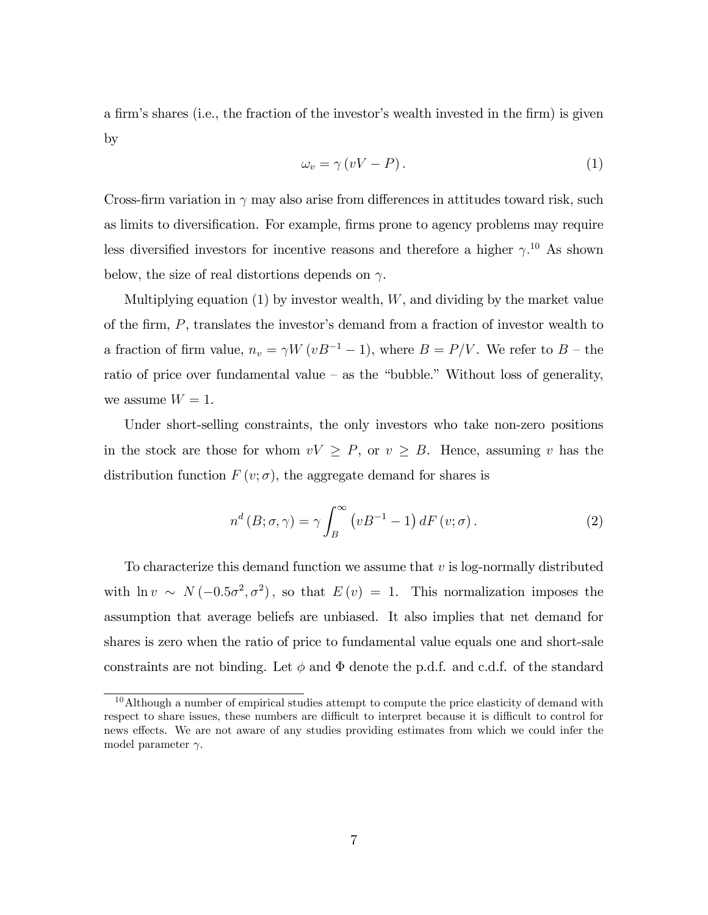a firm's shares (i.e., the fraction of the investor's wealth invested in the firm) is given by

$$
\omega_v = \gamma (vV - P). \tag{1}
$$

Cross-firm variation in  $\gamma$  may also arise from differences in attitudes toward risk, such as limits to diversification. For example, firms prone to agency problems may require less diversified investors for incentive reasons and therefore a higher  $\gamma$ .<sup>10</sup> As shown below, the size of real distortions depends on  $\gamma$ .

Multiplying equation  $(1)$  by investor wealth, W, and dividing by the market value of the firm,  $P$ , translates the investor's demand from a fraction of investor wealth to a fraction of firm value,  $n_v = \gamma W (vB^{-1} - 1)$ , where  $B = P/V$ . We refer to  $B$  – the ratio of price over fundamental value  $-$  as the "bubble." Without loss of generality, we assume  $W = 1$ .

Under short-selling constraints, the only investors who take non-zero positions in the stock are those for whom  $vV \geq P$ , or  $v \geq B$ . Hence, assuming v has the distribution function  $F(v; \sigma)$ , the aggregate demand for shares is

$$
n^{d}(B; \sigma, \gamma) = \gamma \int_{B}^{\infty} (vB^{-1} - 1) dF(v; \sigma).
$$
 (2)

To characterize this demand function we assume that  $v$  is log-normally distributed with  $\ln v \sim N(-0.5\sigma^2, \sigma^2)$ , so that  $E(v) = 1$ . This normalization imposes the assumption that average beliefs are unbiased. It also implies that net demand for shares is zero when the ratio of price to fundamental value equals one and short-sale constraints are not binding. Let  $\phi$  and  $\Phi$  denote the p.d.f. and c.d.f. of the standard

 $10$ Although a number of empirical studies attempt to compute the price elasticity of demand with respect to share issues, these numbers are difficult to interpret because it is difficult to control for news effects. We are not aware of any studies providing estimates from which we could infer the model parameter  $\gamma$ .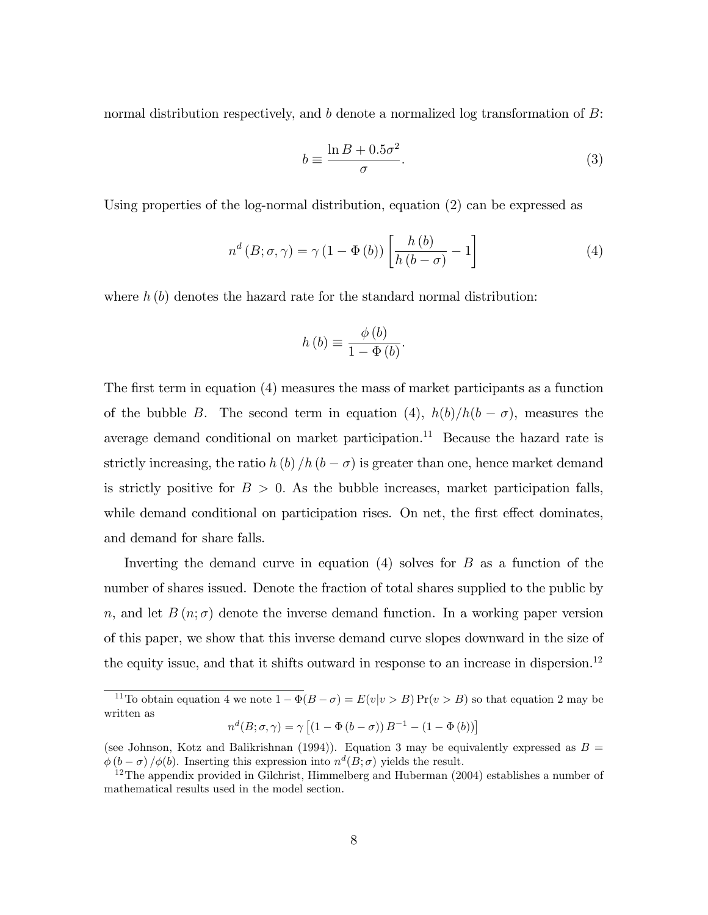normal distribution respectively, and b denote a normalized log transformation of B:

$$
b \equiv \frac{\ln B + 0.5\sigma^2}{\sigma}.
$$
 (3)

Using properties of the log-normal distribution, equation (2) can be expressed as

$$
n^{d} (B; \sigma, \gamma) = \gamma (1 - \Phi(b)) \left[ \frac{h(b)}{h(b - \sigma)} - 1 \right]
$$
 (4)

where  $h(b)$  denotes the hazard rate for the standard normal distribution:

$$
h(b) \equiv \frac{\phi(b)}{1 - \Phi(b)}.
$$

The first term in equation (4) measures the mass of market participants as a function of the bubble B. The second term in equation (4),  $h(b)/h(b - \sigma)$ , measures the average demand conditional on market participation.<sup>11</sup> Because the hazard rate is strictly increasing, the ratio  $h (b) / h (b - \sigma)$  is greater than one, hence market demand is strictly positive for  $B > 0$ . As the bubble increases, market participation falls, while demand conditional on participation rises. On net, the first effect dominates, and demand for share falls.

Inverting the demand curve in equation  $(4)$  solves for B as a function of the number of shares issued. Denote the fraction of total shares supplied to the public by n, and let  $B(n;\sigma)$  denote the inverse demand function. In a working paper version of this paper, we show that this inverse demand curve slopes downward in the size of the equity issue, and that it shifts outward in response to an increase in dispersion.<sup>12</sup>

$$
n^{d}(B; \sigma, \gamma) = \gamma \left[ \left( 1 - \Phi(b - \sigma) \right) B^{-1} - \left( 1 - \Phi(b) \right) \right]
$$

<sup>&</sup>lt;sup>11</sup>To obtain equation 4 we note  $1 - \Phi(B - \sigma) = E(v|v > B) \Pr(v > B)$  so that equation 2 may be written as

<sup>(</sup>see Johnson, Kotz and Balikrishnan (1994)). Equation 3 may be equivalently expressed as  $B =$  $\phi(b-\sigma)/\phi(b)$ . Inserting this expression into  $n^d(B;\sigma)$  yields the result.

<sup>&</sup>lt;sup>12</sup>The appendix provided in Gilchrist, Himmelberg and Huberman  $(2004)$  establishes a number of mathematical results used in the model section.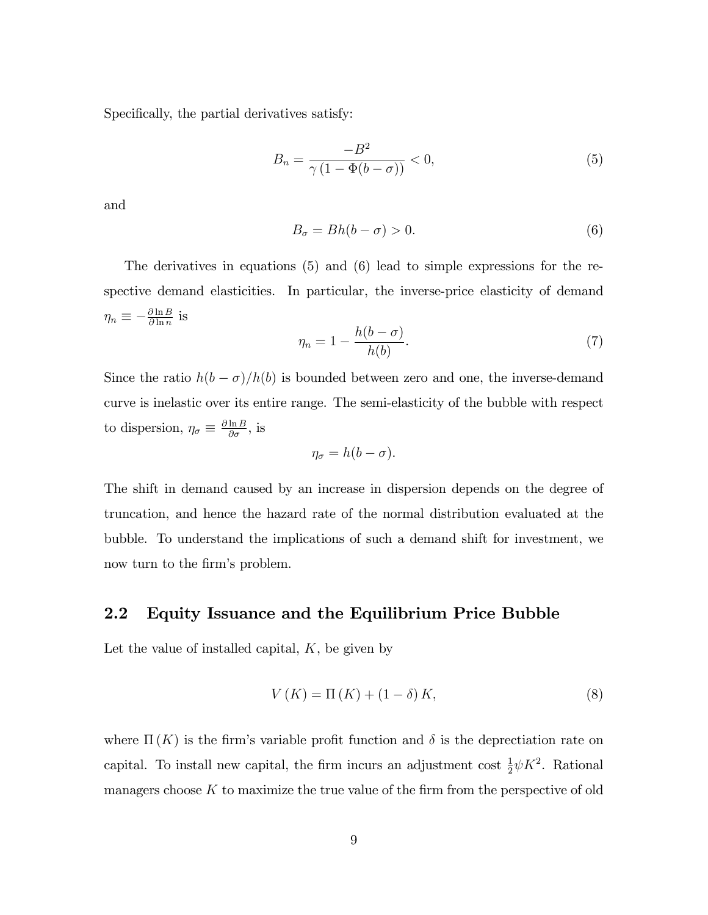Specifically, the partial derivatives satisfy:

$$
B_n = \frac{-B^2}{\gamma \left(1 - \Phi(b - \sigma)\right)} < 0,\tag{5}
$$

and

$$
B_{\sigma} = Bh(b - \sigma) > 0. \tag{6}
$$

The derivatives in equations (5) and (6) lead to simple expressions for the respective demand elasticities. In particular, the inverse-price elasticity of demand  $\eta_n \equiv -\frac{\partial \ln B}{\partial \ln n}$  is

$$
\eta_n = 1 - \frac{h(b - \sigma)}{h(b)}.\tag{7}
$$

Since the ratio  $h(b - \sigma)/h(b)$  is bounded between zero and one, the inverse-demand curve is inelastic over its entire range. The semi-elasticity of the bubble with respect to dispersion,  $\eta_{\sigma} \equiv \frac{\partial \ln B}{\partial \sigma}$ , is

$$
\eta_{\sigma}=h(b-\sigma).
$$

The shift in demand caused by an increase in dispersion depends on the degree of truncation, and hence the hazard rate of the normal distribution evaluated at the bubble. To understand the implications of such a demand shift for investment, we now turn to the firm's problem.

#### 2.2 Equity Issuance and the Equilibrium Price Bubble

Let the value of installed capital,  $K$ , be given by

$$
V(K) = \Pi(K) + (1 - \delta)K,\tag{8}
$$

where  $\Pi(K)$  is the firm's variable profit function and  $\delta$  is the deprectiation rate on capital. To install new capital, the firm incurs an adjustment cost  $\frac{1}{2}\psi K^2$ . Rational managers choose  $K$  to maximize the true value of the firm from the perspective of old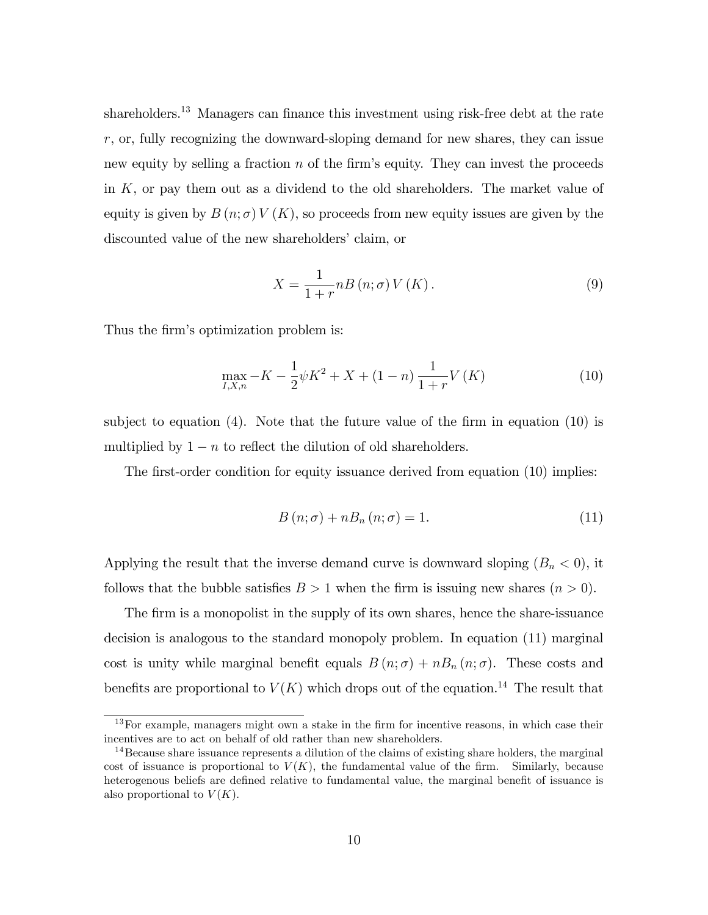shareholders.<sup>13</sup> Managers can finance this investment using risk-free debt at the rate r, or, fully recognizing the downward-sloping demand for new shares, they can issue new equity by selling a fraction  $n$  of the firm's equity. They can invest the proceeds in K, or pay them out as a dividend to the old shareholders. The market value of equity is given by  $B(n; \sigma) V(K)$ , so proceeds from new equity issues are given by the discounted value of the new shareholders' claim, or

$$
X = \frac{1}{1+r}nB\left(n;\sigma\right)V\left(K\right). \tag{9}
$$

Thus the firm's optimization problem is:

$$
\max_{I,X,n} -K - \frac{1}{2}\psi K^2 + X + (1-n)\frac{1}{1+r}V(K)
$$
\n(10)

subject to equation  $(4)$ . Note that the future value of the firm in equation  $(10)$  is multiplied by  $1 - n$  to reflect the dilution of old shareholders.

The first-order condition for equity issuance derived from equation  $(10)$  implies:

$$
B(n; \sigma) + nB_n(n; \sigma) = 1.
$$
\n<sup>(11)</sup>

Applying the result that the inverse demand curve is downward sloping  $(B_n < 0)$ , it follows that the bubble satisfies  $B > 1$  when the firm is issuing new shares  $(n > 0)$ .

The firm is a monopolist in the supply of its own shares, hence the share-issuance decision is analogous to the standard monopoly problem. In equation (11) marginal cost is unity while marginal benefit equals  $B(n; \sigma) + nB_n(n; \sigma)$ . These costs and benefits are proportional to  $V(K)$  which drops out of the equation.<sup>14</sup> The result that

 $13$  For example, managers might own a stake in the firm for incentive reasons, in which case their incentives are to act on behalf of old rather than new shareholders.

<sup>&</sup>lt;sup>14</sup> Because share issuance represents a dilution of the claims of existing share holders, the marginal cost of issuance is proportional to  $V(K)$ , the fundamental value of the firm. Similarly, because heterogenous beliefs are defined relative to fundamental value, the marginal benefit of issuance is also proportional to  $V(K)$ .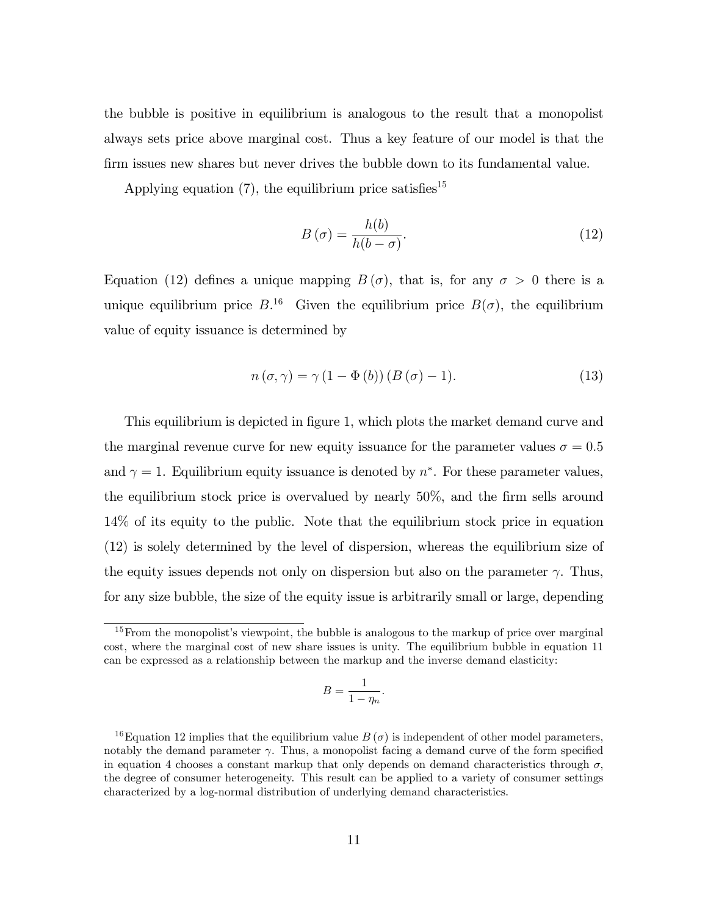the bubble is positive in equilibrium is analogous to the result that a monopolist always sets price above marginal cost. Thus a key feature of our model is that the Örm issues new shares but never drives the bubble down to its fundamental value.

Applying equation  $(7)$ , the equilibrium price satisfies<sup>15</sup>

$$
B\left(\sigma\right) = \frac{h(b)}{h(b-\sigma)}.\tag{12}
$$

Equation (12) defines a unique mapping  $B(\sigma)$ , that is, for any  $\sigma > 0$  there is a unique equilibrium price  $B^{16}$  Given the equilibrium price  $B(\sigma)$ , the equilibrium value of equity issuance is determined by

$$
n(\sigma, \gamma) = \gamma (1 - \Phi(b)) (B(\sigma) - 1).
$$
 (13)

This equilibrium is depicted in figure 1, which plots the market demand curve and the marginal revenue curve for new equity issuance for the parameter values  $\sigma = 0.5$ and  $\gamma = 1$ . Equilibrium equity issuance is denoted by  $n^*$ . For these parameter values, the equilibrium stock price is overvalued by nearly  $50\%$ , and the firm sells around 14% of its equity to the public. Note that the equilibrium stock price in equation (12) is solely determined by the level of dispersion, whereas the equilibrium size of the equity issues depends not only on dispersion but also on the parameter  $\gamma$ . Thus, for any size bubble, the size of the equity issue is arbitrarily small or large, depending

$$
B = \frac{1}{1 - \eta_n}.
$$

 $15$  From the monopolist's viewpoint, the bubble is analogous to the markup of price over marginal cost, where the marginal cost of new share issues is unity. The equilibrium bubble in equation 11 can be expressed as a relationship between the markup and the inverse demand elasticity:

<sup>&</sup>lt;sup>16</sup>Equation 12 implies that the equilibrium value  $B(\sigma)$  is independent of other model parameters, notably the demand parameter  $\gamma$ . Thus, a monopolist facing a demand curve of the form specified in equation 4 chooses a constant markup that only depends on demand characteristics through  $\sigma$ , the degree of consumer heterogeneity. This result can be applied to a variety of consumer settings characterized by a log-normal distribution of underlying demand characteristics.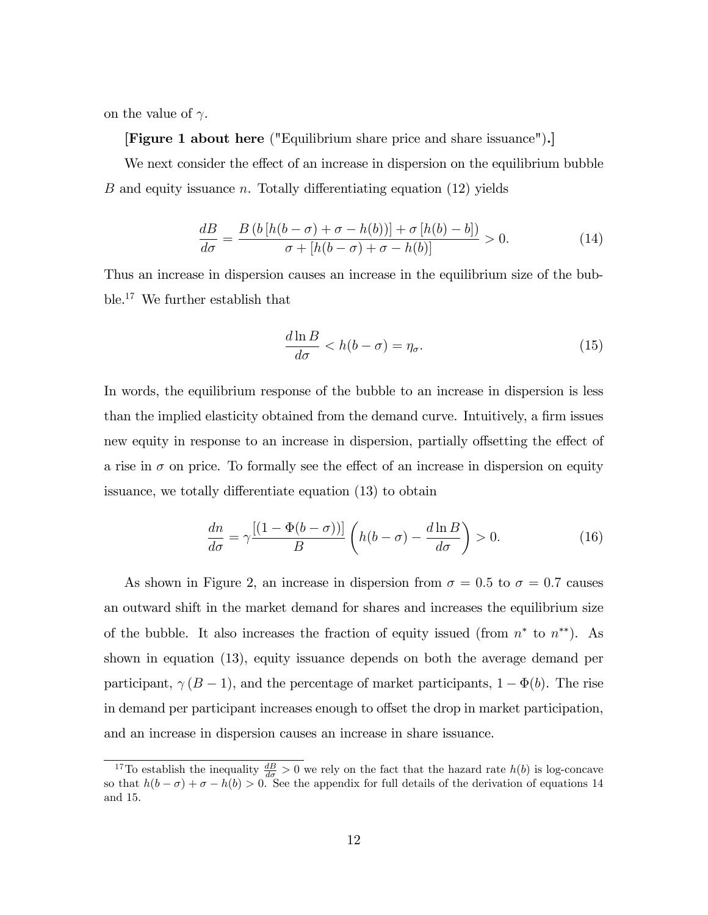on the value of  $\gamma$ .

[Figure 1 about here ("Equilibrium share price and share issuance").]

We next consider the effect of an increase in dispersion on the equilibrium bubble B and equity issuance n. Totally differentiating equation  $(12)$  yields

$$
\frac{dB}{d\sigma} = \frac{B\left(b\left[h(b-\sigma) + \sigma - h(b)\right]\right) + \sigma\left[h(b) - b\right]}{\sigma + \left[h(b-\sigma) + \sigma - h(b)\right]} > 0. \tag{14}
$$

Thus an increase in dispersion causes an increase in the equilibrium size of the bubble.<sup>17</sup> We further establish that

$$
\frac{d\ln B}{d\sigma} < h(b - \sigma) = \eta_{\sigma}.\tag{15}
$$

In words, the equilibrium response of the bubble to an increase in dispersion is less than the implied elasticity obtained from the demand curve. Intuitively, a firm issues new equity in response to an increase in dispersion, partially offsetting the effect of a rise in  $\sigma$  on price. To formally see the effect of an increase in dispersion on equity issuance, we totally differentiate equation (13) to obtain

$$
\frac{dn}{d\sigma} = \gamma \frac{[(1 - \Phi(b - \sigma))]}{B} \left( h(b - \sigma) - \frac{d \ln B}{d\sigma} \right) > 0.
$$
 (16)

As shown in Figure 2, an increase in dispersion from  $\sigma = 0.5$  to  $\sigma = 0.7$  causes an outward shift in the market demand for shares and increases the equilibrium size of the bubble. It also increases the fraction of equity issued (from  $n^*$  to  $n^{**}$ ). As shown in equation (13), equity issuance depends on both the average demand per participant,  $\gamma (B - 1)$ , and the percentage of market participants,  $1 - \Phi(b)$ . The rise in demand per participant increases enough to offset the drop in market participation, and an increase in dispersion causes an increase in share issuance.

<sup>&</sup>lt;sup>17</sup>To establish the inequality  $\frac{dB}{d\sigma} > 0$  we rely on the fact that the hazard rate  $h(b)$  is log-concave so that  $h(b - \sigma) + \sigma - h(b) > 0$ . See the appendix for full details of the derivation of equations 14 and 15.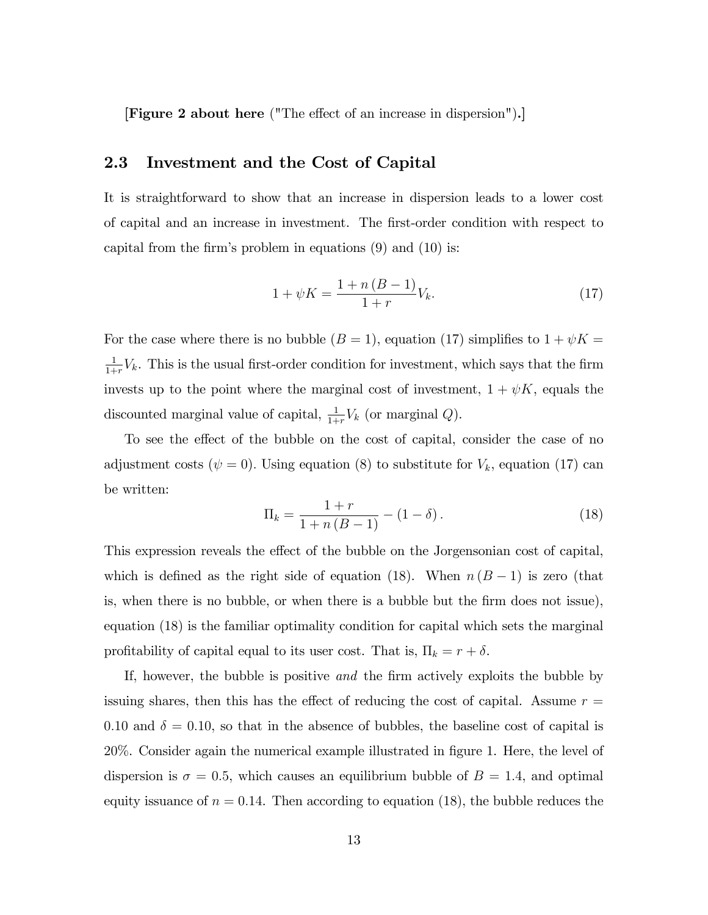[Figure 2 about here ("The effect of an increase in dispersion").]

#### 2.3 Investment and the Cost of Capital

It is straightforward to show that an increase in dispersion leads to a lower cost of capital and an increase in investment. The Örst-order condition with respect to capital from the firm's problem in equations  $(9)$  and  $(10)$  is:

$$
1 + \psi K = \frac{1 + n (B - 1)}{1 + r} V_k.
$$
 (17)

For the case where there is no bubble  $(B = 1)$ , equation (17) simplifies to  $1 + \psi K =$ 1  $\frac{1}{1+r}V_k$ . This is the usual first-order condition for investment, which says that the firm invests up to the point where the marginal cost of investment,  $1 + \psi K$ , equals the discounted marginal value of capital,  $\frac{1}{1+r}V_k$  (or marginal Q).

To see the effect of the bubble on the cost of capital, consider the case of no adjustment costs ( $\psi = 0$ ). Using equation (8) to substitute for  $V_k$ , equation (17) can be written:

$$
\Pi_k = \frac{1+r}{1+n(B-1)} - (1-\delta).
$$
\n(18)

This expression reveals the effect of the bubble on the Jorgensonian cost of capital, which is defined as the right side of equation (18). When  $n (B - 1)$  is zero (that is, when there is no bubble, or when there is a bubble but the firm does not issue), equation (18) is the familiar optimality condition for capital which sets the marginal profitability of capital equal to its user cost. That is,  $\Pi_k = r + \delta$ .

If, however, the bubble is positive and the firm actively exploits the bubble by issuing shares, then this has the effect of reducing the cost of capital. Assume  $r =$ 0.10 and  $\delta = 0.10$ , so that in the absence of bubbles, the baseline cost of capital is 20%. Consider again the numerical example illustrated in figure 1. Here, the level of dispersion is  $\sigma = 0.5$ , which causes an equilibrium bubble of  $B = 1.4$ , and optimal equity issuance of  $n = 0.14$ . Then according to equation (18), the bubble reduces the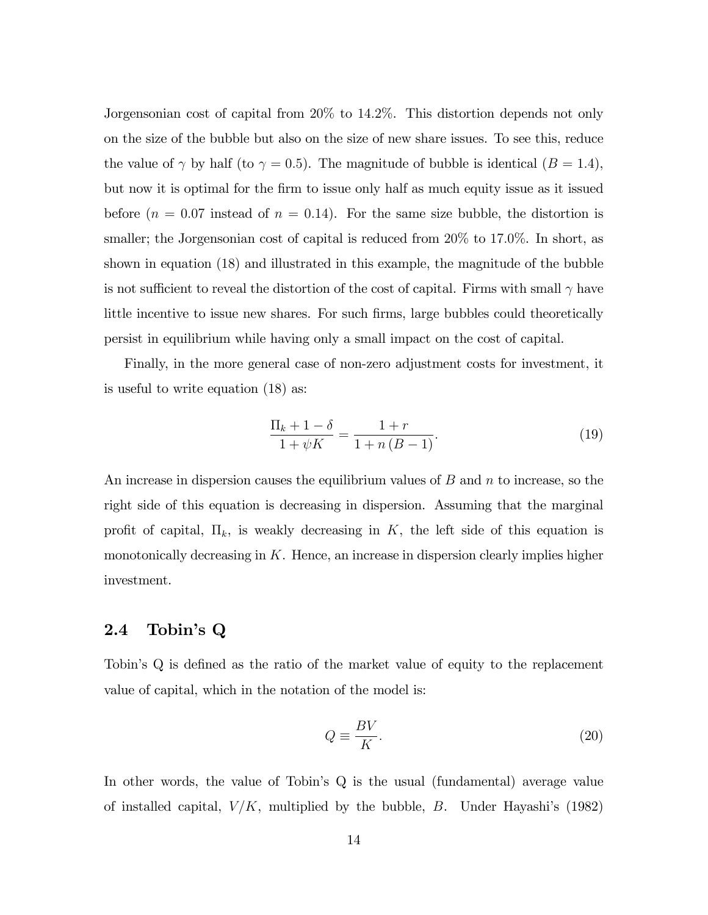Jorgensonian cost of capital from 20% to 14:2%. This distortion depends not only on the size of the bubble but also on the size of new share issues. To see this, reduce the value of  $\gamma$  by half (to  $\gamma = 0.5$ ). The magnitude of bubble is identical ( $B = 1.4$ ), but now it is optimal for the firm to issue only half as much equity issue as it issued before  $(n = 0.07 \text{ instead of } n = 0.14)$ . For the same size bubble, the distortion is smaller; the Jorgensonian cost of capital is reduced from  $20\%$  to 17.0%. In short, as shown in equation (18) and illustrated in this example, the magnitude of the bubble is not sufficient to reveal the distortion of the cost of capital. Firms with small  $\gamma$  have little incentive to issue new shares. For such firms, large bubbles could theoretically persist in equilibrium while having only a small impact on the cost of capital.

Finally, in the more general case of non-zero adjustment costs for investment, it is useful to write equation (18) as:

$$
\frac{\Pi_k + 1 - \delta}{1 + \psi K} = \frac{1 + r}{1 + n(B - 1)}.
$$
\n(19)

An increase in dispersion causes the equilibrium values of  $B$  and  $n$  to increase, so the right side of this equation is decreasing in dispersion. Assuming that the marginal profit of capital,  $\Pi_k$ , is weakly decreasing in K, the left side of this equation is monotonically decreasing in  $K$ . Hence, an increase in dispersion clearly implies higher investment.

### 2.4 Tobin's Q

Tobin's Q is defined as the ratio of the market value of equity to the replacement value of capital, which in the notation of the model is:

$$
Q \equiv \frac{BV}{K}.\tag{20}
$$

In other words, the value of Tobin's Q is the usual (fundamental) average value of installed capital,  $V/K$ , multiplied by the bubble, B. Under Hayashi's (1982)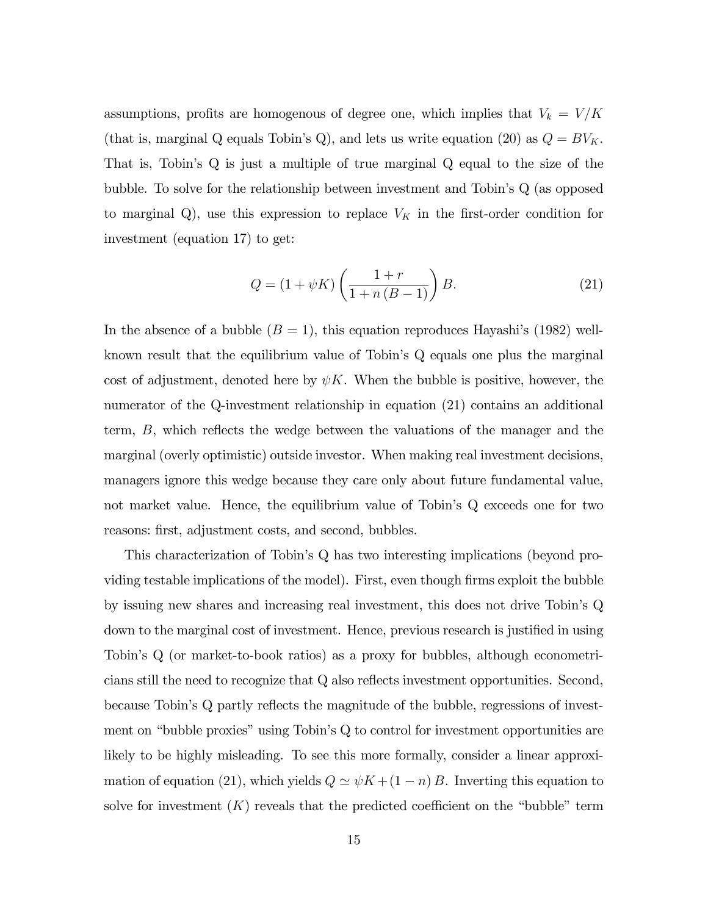assumptions, profits are homogenous of degree one, which implies that  $V_k = V/K$ (that is, marginal Q equals Tobin's Q), and lets us write equation (20) as  $Q = BV_K$ . That is, Tobin's Q is just a multiple of true marginal Q equal to the size of the bubble. To solve for the relationship between investment and Tobin's Q (as opposed to marginal Q), use this expression to replace  $V_K$  in the first-order condition for investment (equation 17) to get:

$$
Q = (1 + \psi K) \left( \frac{1+r}{1+n(B-1)} \right) B.
$$
 (21)

In the absence of a bubble  $(B = 1)$ , this equation reproduces Hayashi's (1982) wellknown result that the equilibrium value of Tobin's Q equals one plus the marginal cost of adjustment, denoted here by  $\psi K$ . When the bubble is positive, however, the numerator of the Q-investment relationship in equation (21) contains an additional term,  $B$ , which reflects the wedge between the valuations of the manager and the marginal (overly optimistic) outside investor. When making real investment decisions, managers ignore this wedge because they care only about future fundamental value, not market value. Hence, the equilibrium value of Tobin's Q exceeds one for two reasons: first, adjustment costs, and second, bubbles.

This characterization of Tobinís Q has two interesting implications (beyond providing testable implications of the model). First, even though firms exploit the bubble by issuing new shares and increasing real investment, this does not drive Tobinís Q down to the marginal cost of investment. Hence, previous research is justified in using Tobinís Q (or market-to-book ratios) as a proxy for bubbles, although econometricians still the need to recognize that  $Q$  also reflects investment opportunities. Second, because Tobin's  $Q$  partly reflects the magnitude of the bubble, regressions of investment on "bubble proxies" using Tobin's  $Q$  to control for investment opportunities are likely to be highly misleading. To see this more formally, consider a linear approximation of equation (21), which yields  $Q \simeq \psi K + (1 - n) B$ . Inverting this equation to solve for investment  $(K)$  reveals that the predicted coefficient on the "bubble" term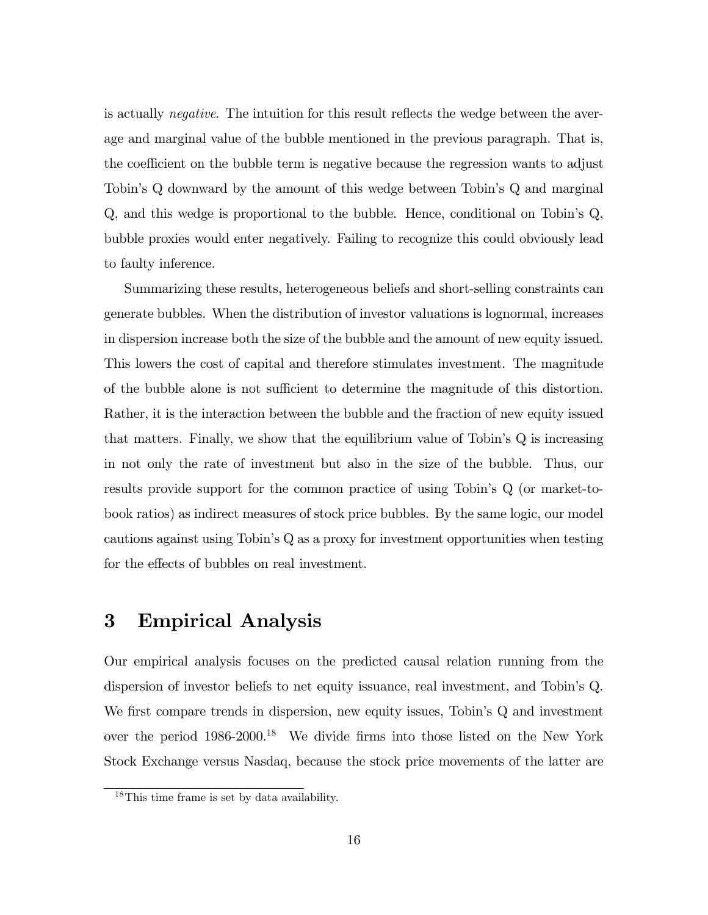is actually *negative*. The intuition for this result reflects the wedge between the average and marginal value of the bubble mentioned in the previous paragraph. That is, the coefficient on the bubble term is negative because the regression wants to adjust Tobinís Q downward by the amount of this wedge between Tobinís Q and marginal Q, and this wedge is proportional to the bubble. Hence, conditional on Tobin's Q, bubble proxies would enter negatively. Failing to recognize this could obviously lead to faulty inference.

Summarizing these results, heterogeneous beliefs and short-selling constraints can generate bubbles. When the distribution of investor valuations is lognormal, increases in dispersion increase both the size of the bubble and the amount of new equity issued. This lowers the cost of capital and therefore stimulates investment. The magnitude of the bubble alone is not sufficient to determine the magnitude of this distortion. Rather, it is the interaction between the bubble and the fraction of new equity issued that matters. Finally, we show that the equilibrium value of Tobin's  $Q$  is increasing in not only the rate of investment but also in the size of the bubble. Thus, our results provide support for the common practice of using Tobin's Q (or market-tobook ratios) as indirect measures of stock price bubbles. By the same logic, our model cautions against using Tobin's Q as a proxy for investment opportunities when testing for the effects of bubbles on real investment.

### 3 Empirical Analysis

Our empirical analysis focuses on the predicted causal relation running from the dispersion of investor beliefs to net equity issuance, real investment, and Tobinís Q. We first compare trends in dispersion, new equity issues, Tobin's Q and investment over the period 1986-2000.<sup>18</sup> We divide firms into those listed on the New York Stock Exchange versus Nasdaq, because the stock price movements of the latter are

<sup>18</sup>This time frame is set by data availability.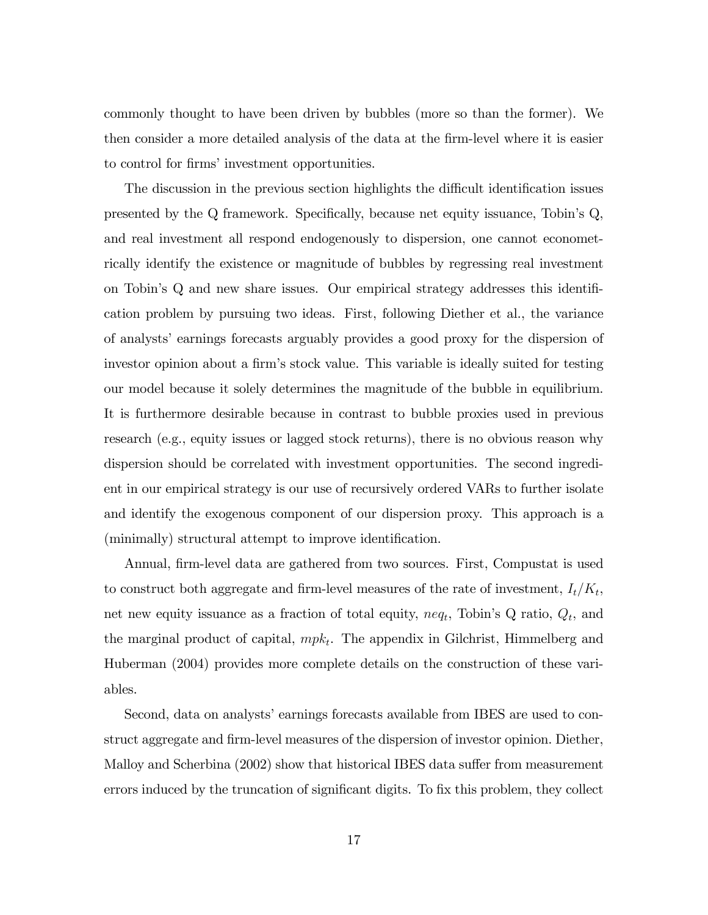commonly thought to have been driven by bubbles (more so than the former). We then consider a more detailed analysis of the data at the Örm-level where it is easier to control for firms' investment opportunities.

The discussion in the previous section highlights the difficult identification issues presented by the  $Q$  framework. Specifically, because net equity issuance, Tobin's  $Q$ , and real investment all respond endogenously to dispersion, one cannot econometrically identify the existence or magnitude of bubbles by regressing real investment on Tobin's Q and new share issues. Our empirical strategy addresses this identification problem by pursuing two ideas. First, following Diether et al., the variance of analystsíearnings forecasts arguably provides a good proxy for the dispersion of investor opinion about a firm's stock value. This variable is ideally suited for testing our model because it solely determines the magnitude of the bubble in equilibrium. It is furthermore desirable because in contrast to bubble proxies used in previous research (e.g., equity issues or lagged stock returns), there is no obvious reason why dispersion should be correlated with investment opportunities. The second ingredient in our empirical strategy is our use of recursively ordered VARs to further isolate and identify the exogenous component of our dispersion proxy. This approach is a (minimally) structural attempt to improve identification.

Annual, firm-level data are gathered from two sources. First, Compustat is used to construct both aggregate and firm-level measures of the rate of investment,  $I_t/K_t$ , net new equity issuance as a fraction of total equity,  $neq_t$ , Tobin's Q ratio,  $Q_t$ , and the marginal product of capital,  $mpk_t$ . The appendix in Gilchrist, Himmelberg and Huberman (2004) provides more complete details on the construction of these variables.

Second, data on analysts' earnings forecasts available from IBES are used to construct aggregate and firm-level measures of the dispersion of investor opinion. Diether, Malloy and Scherbina (2002) show that historical IBES data suffer from measurement errors induced by the truncation of significant digits. To fix this problem, they collect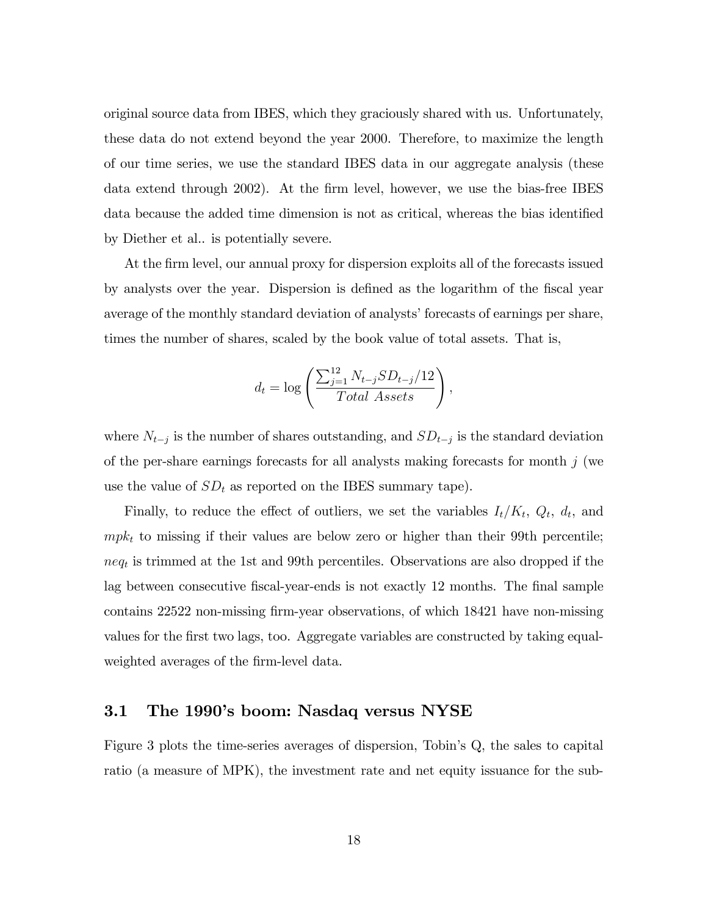original source data from IBES, which they graciously shared with us. Unfortunately, these data do not extend beyond the year 2000. Therefore, to maximize the length of our time series, we use the standard IBES data in our aggregate analysis (these data extend through 2002). At the firm level, however, we use the bias-free IBES data because the added time dimension is not as critical, whereas the bias identified by Diether et al.. is potentially severe.

At the firm level, our annual proxy for dispersion exploits all of the forecasts issued by analysts over the year. Dispersion is defined as the logarithm of the fiscal year average of the monthly standard deviation of analysts' forecasts of earnings per share, times the number of shares, scaled by the book value of total assets. That is,

$$
d_t = \log \left( \frac{\sum_{j=1}^{12} N_{t-j} S D_{t-j}}{Total\,\,Assets} \right),\,
$$

where  $N_{t-j}$  is the number of shares outstanding, and  $SD_{t-j}$  is the standard deviation of the per-share earnings forecasts for all analysts making forecasts for month  $j$  (we use the value of  $SD_t$  as reported on the IBES summary tape).

Finally, to reduce the effect of outliers, we set the variables  $I_t/K_t$ ,  $Q_t$ ,  $d_t$ , and  $mpk_t$  to missing if their values are below zero or higher than their 99th percentile;  $neq_t$  is trimmed at the 1st and 99th percentiles. Observations are also dropped if the lag between consecutive fiscal-year-ends is not exactly 12 months. The final sample contains 22522 non-missing firm-year observations, of which 18421 have non-missing values for the first two lags, too. Aggregate variables are constructed by taking equalweighted averages of the firm-level data.

#### 3.1 The 1990's boom: Nasdaq versus NYSE

Figure 3 plots the time-series averages of dispersion, Tobin's Q, the sales to capital ratio (a measure of MPK), the investment rate and net equity issuance for the sub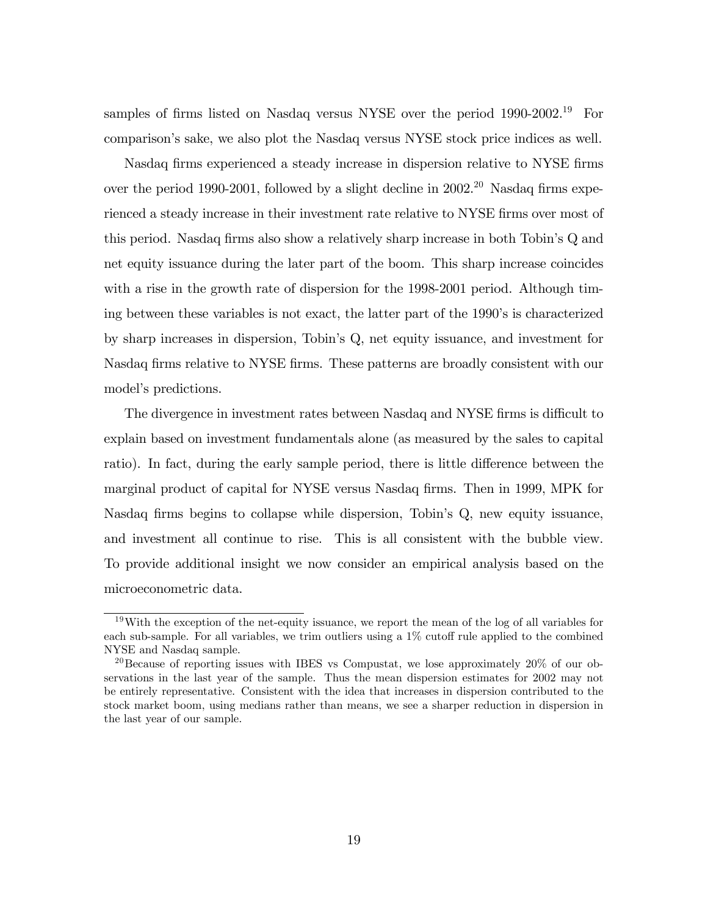samples of firms listed on Nasdaq versus NYSE over the period  $1990-2002<sup>19</sup>$  For comparisonís sake, we also plot the Nasdaq versus NYSE stock price indices as well.

Nasdaq firms experienced a steady increase in dispersion relative to NYSE firms over the period 1990-2001, followed by a slight decline in  $2002<sup>20</sup>$  Nasdaq firms experienced a steady increase in their investment rate relative to NYSE firms over most of this period. Nasdaq firms also show a relatively sharp increase in both Tobin's Q and net equity issuance during the later part of the boom. This sharp increase coincides with a rise in the growth rate of dispersion for the 1998-2001 period. Although timing between these variables is not exact, the latter part of the 1990ís is characterized by sharp increases in dispersion, Tobinís Q, net equity issuance, and investment for Nasdaq firms relative to NYSE firms. These patterns are broadly consistent with our model's predictions.

The divergence in investment rates between Nasdaq and NYSE firms is difficult to explain based on investment fundamentals alone (as measured by the sales to capital ratio). In fact, during the early sample period, there is little difference between the marginal product of capital for NYSE versus Nasdaq firms. Then in 1999, MPK for Nasdaq firms begins to collapse while dispersion, Tobin's Q, new equity issuance, and investment all continue to rise. This is all consistent with the bubble view. To provide additional insight we now consider an empirical analysis based on the microeconometric data.

<sup>&</sup>lt;sup>19</sup>With the exception of the net-equity issuance, we report the mean of the log of all variables for each sub-sample. For all variables, we trim outliers using a  $1\%$  cutoff rule applied to the combined NYSE and Nasdaq sample.

<sup>&</sup>lt;sup>20</sup>Because of reporting issues with IBES vs Compustat, we lose approximately 20% of our observations in the last year of the sample. Thus the mean dispersion estimates for 2002 may not be entirely representative. Consistent with the idea that increases in dispersion contributed to the stock market boom, using medians rather than means, we see a sharper reduction in dispersion in the last year of our sample.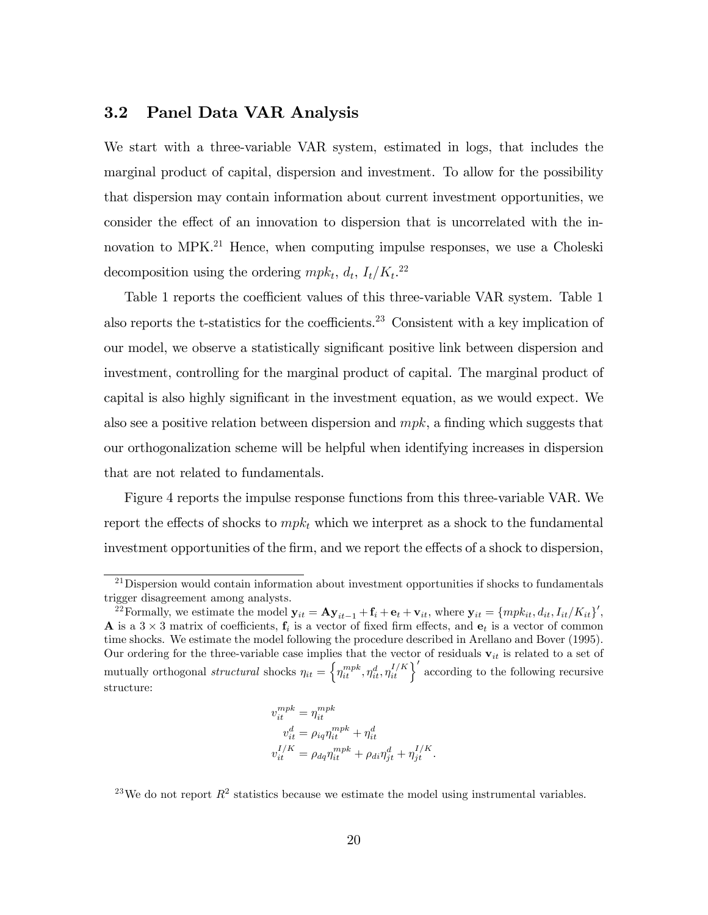### 3.2 Panel Data VAR Analysis

We start with a three-variable VAR system, estimated in logs, that includes the marginal product of capital, dispersion and investment. To allow for the possibility that dispersion may contain information about current investment opportunities, we consider the effect of an innovation to dispersion that is uncorrelated with the innovation to MPK.<sup>21</sup> Hence, when computing impulse responses, we use a Choleski decomposition using the ordering  $mpk_t$ ,  $d_t$ ,  $I_t/K_t$ <sup>22</sup>

Table 1 reports the coefficient values of this three-variable VAR system. Table 1 also reports the t-statistics for the coefficients.<sup>23</sup> Consistent with a key implication of our model, we observe a statistically significant positive link between dispersion and investment, controlling for the marginal product of capital. The marginal product of capital is also highly significant in the investment equation, as we would expect. We also see a positive relation between dispersion and  $mpk$ , a finding which suggests that our orthogonalization scheme will be helpful when identifying increases in dispersion that are not related to fundamentals.

Figure 4 reports the impulse response functions from this three-variable VAR. We report the effects of shocks to  $mpk_t$  which we interpret as a shock to the fundamental investment opportunities of the firm, and we report the effects of a shock to dispersion,

$$
v_{it}^{mpk} = \eta_{it}^{mpk}
$$
  
\n
$$
v_{it}^{d} = \rho_{iq} \eta_{it}^{mpk} + \eta_{it}^{d}
$$
  
\n
$$
v_{it}^{I/K} = \rho_{dq} \eta_{it}^{mpk} + \rho_{di} \eta_{jt}^{d} + \eta_{jt}^{I/K}.
$$

<sup>23</sup>We do not report  $R^2$  statistics because we estimate the model using instrumental variables.

<sup>&</sup>lt;sup>21</sup>Dispersion would contain information about investment opportunities if shocks to fundamentals trigger disagreement among analysts.

<sup>&</sup>lt;sup>22</sup>Formally, we estimate the model  $\mathbf{y}_{it} = \mathbf{A} \mathbf{y}_{it-1} + \mathbf{f}_i + \mathbf{e}_t + \mathbf{v}_{it}$ , where  $\mathbf{y}_{it} = \{mpk_{it}, d_{it}, I_{it}/K_{it}\}'$ , **A** is a  $3 \times 3$  matrix of coefficients,  $f_i$  is a vector of fixed firm effects, and  $e_t$  is a vector of common time shocks. We estimate the model following the procedure described in Arellano and Bover (1995). Our ordering for the three-variable case implies that the vector of residuals  $v_{it}$  is related to a set of mutually orthogonal *structural* shocks  $\eta_{it} = \left\{ \eta_{it}^{mpk}, \eta_{it}^d, \eta_{it}^{I/K} \right\}'$  according to the following recursive structure: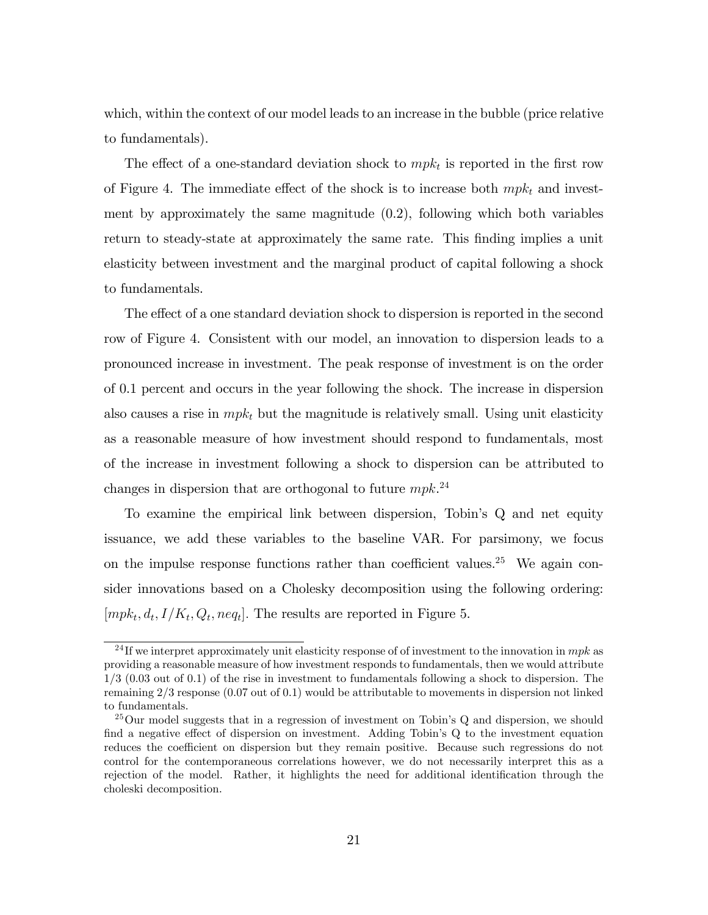which, within the context of our model leads to an increase in the bubble (price relative to fundamentals).

The effect of a one-standard deviation shock to  $mpk_t$  is reported in the first row of Figure 4. The immediate effect of the shock is to increase both  $mpk_t$  and investment by approximately the same magnitude (0.2), following which both variables return to steady-state at approximately the same rate. This Önding implies a unit elasticity between investment and the marginal product of capital following a shock to fundamentals.

The effect of a one standard deviation shock to dispersion is reported in the second row of Figure 4. Consistent with our model, an innovation to dispersion leads to a pronounced increase in investment. The peak response of investment is on the order of 0.1 percent and occurs in the year following the shock. The increase in dispersion also causes a rise in  $mpk_t$  but the magnitude is relatively small. Using unit elasticity as a reasonable measure of how investment should respond to fundamentals, most of the increase in investment following a shock to dispersion can be attributed to changes in dispersion that are orthogonal to future  $mpk$ <sup>24</sup>

To examine the empirical link between dispersion, Tobin's Q and net equity issuance, we add these variables to the baseline VAR. For parsimony, we focus on the impulse response functions rather than coefficient values.<sup>25</sup> We again consider innovations based on a Cholesky decomposition using the following ordering:  $[mpk_t, d_t, I/K_t, Q_t, neq_t]$ . The results are reported in Figure 5.

<sup>&</sup>lt;sup>24</sup> If we interpret approximately unit elasticity response of of investment to the innovation in  $mpk$  as providing a reasonable measure of how investment responds to fundamentals, then we would attribute 1/3 (0.03 out of 0.1) of the rise in investment to fundamentals following a shock to dispersion. The remaining 2/3 response (0.07 out of 0.1) would be attributable to movements in dispersion not linked to fundamentals.

 $25$ Our model suggests that in a regression of investment on Tobin's Q and dispersion, we should find a negative effect of dispersion on investment. Adding Tobin's Q to the investment equation reduces the coefficient on dispersion but they remain positive. Because such regressions do not control for the contemporaneous correlations however, we do not necessarily interpret this as a rejection of the model. Rather, it highlights the need for additional identification through the choleski decomposition.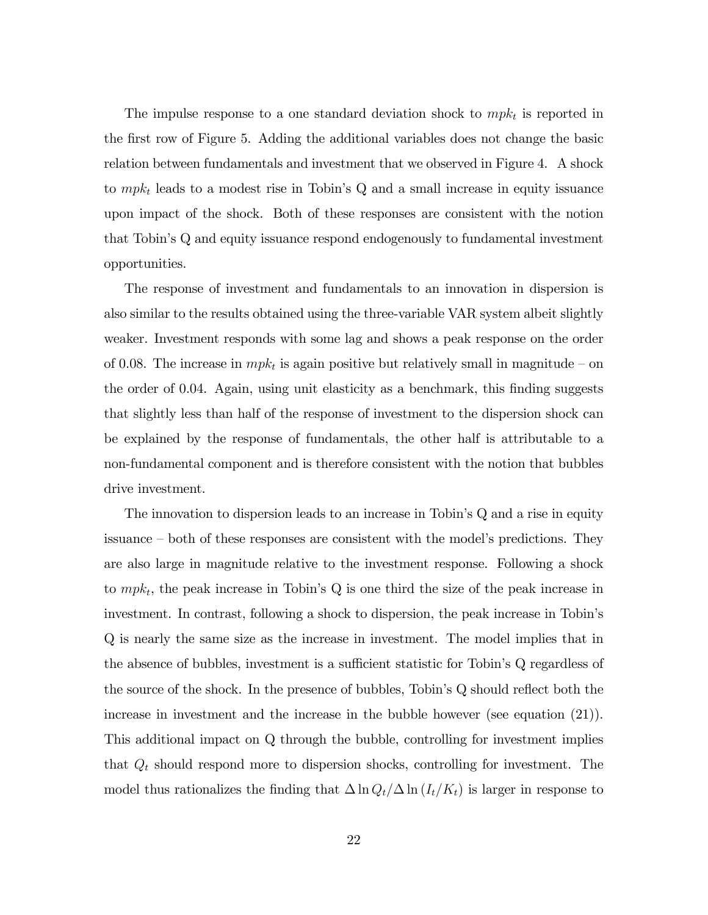The impulse response to a one standard deviation shock to  $m p k_t$  is reported in the first row of Figure 5. Adding the additional variables does not change the basic relation between fundamentals and investment that we observed in Figure 4. A shock to  $mpk_t$  leads to a modest rise in Tobin's Q and a small increase in equity issuance upon impact of the shock. Both of these responses are consistent with the notion that Tobinís Q and equity issuance respond endogenously to fundamental investment opportunities.

The response of investment and fundamentals to an innovation in dispersion is also similar to the results obtained using the three-variable VAR system albeit slightly weaker. Investment responds with some lag and shows a peak response on the order of 0.08. The increase in  $mpk_t$  is again positive but relatively small in magnitude – on the order of 0.04. Again, using unit elasticity as a benchmark, this finding suggests that slightly less than half of the response of investment to the dispersion shock can be explained by the response of fundamentals, the other half is attributable to a non-fundamental component and is therefore consistent with the notion that bubbles drive investment.

The innovation to dispersion leads to an increase in Tobin's Q and a rise in equity issuance – both of these responses are consistent with the model's predictions. They are also large in magnitude relative to the investment response. Following a shock to  $mpk_t$ , the peak increase in Tobin's Q is one third the size of the peak increase in investment. In contrast, following a shock to dispersion, the peak increase in Tobin's Q is nearly the same size as the increase in investment. The model implies that in the absence of bubbles, investment is a sufficient statistic for Tobin's Q regardless of the source of the shock. In the presence of bubbles, Tobin's  $Q$  should reflect both the increase in investment and the increase in the bubble however (see equation (21)). This additional impact on Q through the bubble, controlling for investment implies that  $Q_t$  should respond more to dispersion shocks, controlling for investment. The model thus rationalizes the finding that  $\Delta \ln Q_t/\Delta \ln (I_t/K_t)$  is larger in response to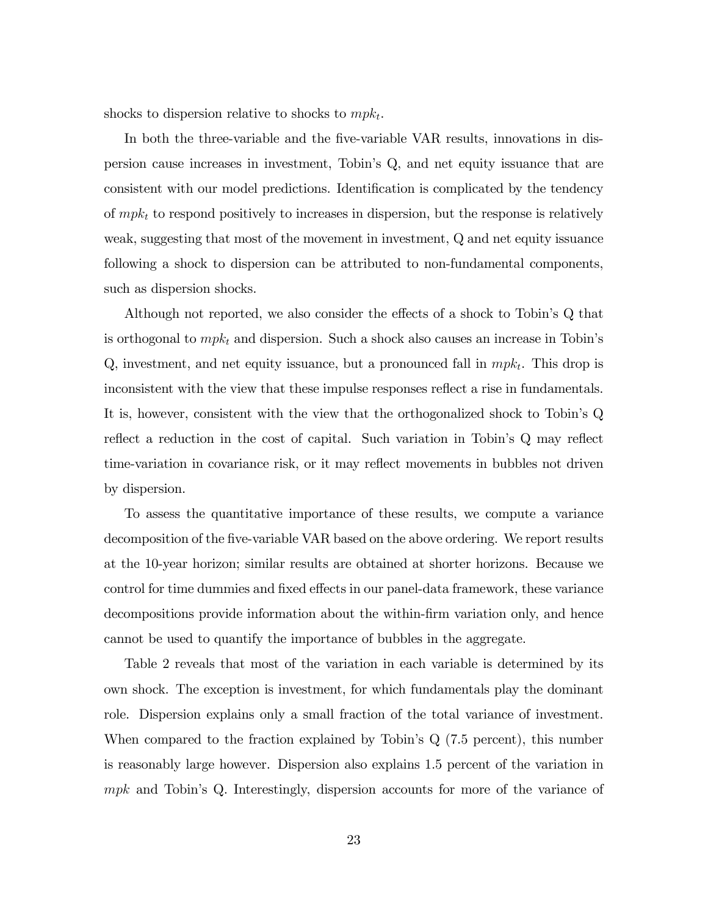shocks to dispersion relative to shocks to  $mpk_t$ .

In both the three-variable and the Öve-variable VAR results, innovations in dispersion cause increases in investment, Tobinís Q, and net equity issuance that are consistent with our model predictions. Identification is complicated by the tendency of  $mpk_t$  to respond positively to increases in dispersion, but the response is relatively weak, suggesting that most of the movement in investment, Q and net equity issuance following a shock to dispersion can be attributed to non-fundamental components, such as dispersion shocks.

Although not reported, we also consider the effects of a shock to Tobin's Q that is orthogonal to  $mpk_t$  and dispersion. Such a shock also causes an increase in Tobin's Q, investment, and net equity issuance, but a pronounced fall in  $mpk_t$ . This drop is inconsistent with the view that these impulse responses reflect a rise in fundamentals. It is, however, consistent with the view that the orthogonalized shock to Tobinís Q reflect a reduction in the cost of capital. Such variation in Tobin's Q may reflect time-variation in covariance risk, or it may reflect movements in bubbles not driven by dispersion.

To assess the quantitative importance of these results, we compute a variance decomposition of the five-variable VAR based on the above ordering. We report results at the 10-year horizon; similar results are obtained at shorter horizons. Because we control for time dummies and fixed effects in our panel-data framework, these variance decompositions provide information about the within-firm variation only, and hence cannot be used to quantify the importance of bubbles in the aggregate.

Table 2 reveals that most of the variation in each variable is determined by its own shock. The exception is investment, for which fundamentals play the dominant role. Dispersion explains only a small fraction of the total variance of investment. When compared to the fraction explained by Tobin's  $Q(7.5$  percent), this number is reasonably large however. Dispersion also explains 1.5 percent of the variation in  $mpk$  and Tobin's Q. Interestingly, dispersion accounts for more of the variance of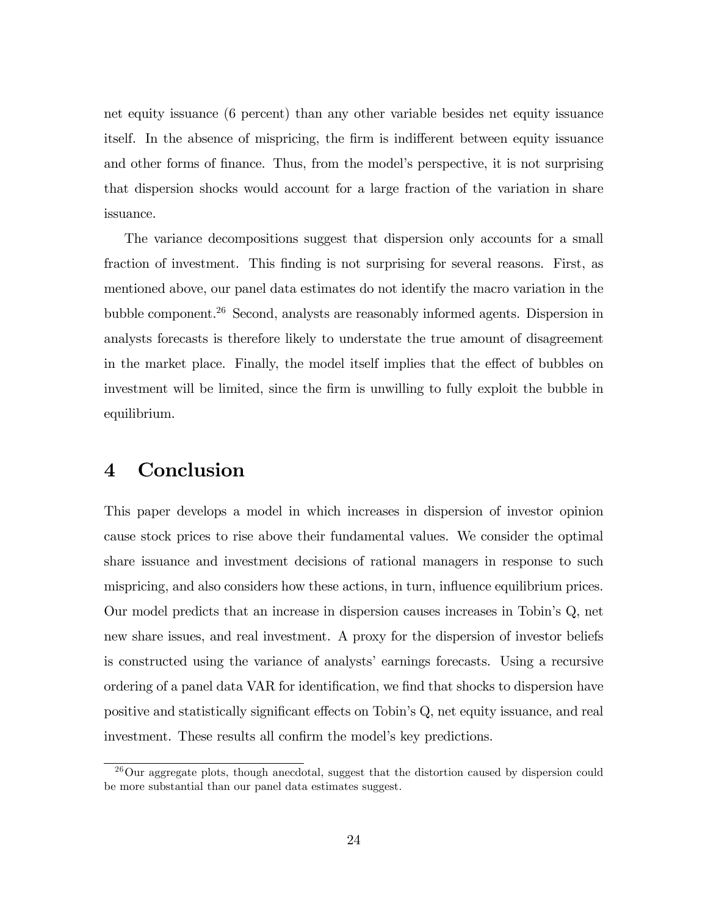net equity issuance (6 percent) than any other variable besides net equity issuance itself. In the absence of mispricing, the firm is indifferent between equity issuance and other forms of finance. Thus, from the model's perspective, it is not surprising that dispersion shocks would account for a large fraction of the variation in share issuance.

The variance decompositions suggest that dispersion only accounts for a small fraction of investment. This finding is not surprising for several reasons. First, as mentioned above, our panel data estimates do not identify the macro variation in the bubble component.<sup>26</sup> Second, analysts are reasonably informed agents. Dispersion in analysts forecasts is therefore likely to understate the true amount of disagreement in the market place. Finally, the model itself implies that the effect of bubbles on investment will be limited, since the firm is unwilling to fully exploit the bubble in equilibrium.

### 4 Conclusion

This paper develops a model in which increases in dispersion of investor opinion cause stock prices to rise above their fundamental values. We consider the optimal share issuance and investment decisions of rational managers in response to such mispricing, and also considers how these actions, in turn, influence equilibrium prices. Our model predicts that an increase in dispersion causes increases in Tobinís Q, net new share issues, and real investment. A proxy for the dispersion of investor beliefs is constructed using the variance of analystsí earnings forecasts. Using a recursive ordering of a panel data VAR for identification, we find that shocks to dispersion have positive and statistically significant effects on Tobin's Q, net equity issuance, and real investment. These results all confirm the model's key predictions.

<sup>&</sup>lt;sup>26</sup>Our aggregate plots, though anecdotal, suggest that the distortion caused by dispersion could be more substantial than our panel data estimates suggest.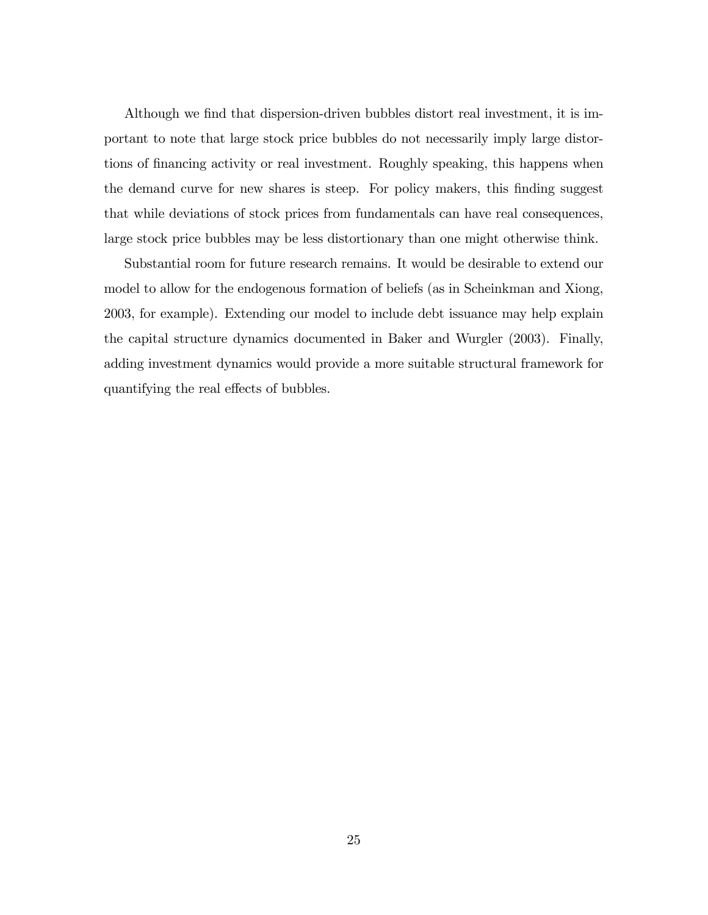Although we find that dispersion-driven bubbles distort real investment, it is important to note that large stock price bubbles do not necessarily imply large distortions of financing activity or real investment. Roughly speaking, this happens when the demand curve for new shares is steep. For policy makers, this finding suggest that while deviations of stock prices from fundamentals can have real consequences, large stock price bubbles may be less distortionary than one might otherwise think.

Substantial room for future research remains. It would be desirable to extend our model to allow for the endogenous formation of beliefs (as in Scheinkman and Xiong, 2003, for example). Extending our model to include debt issuance may help explain the capital structure dynamics documented in Baker and Wurgler (2003). Finally, adding investment dynamics would provide a more suitable structural framework for quantifying the real effects of bubbles.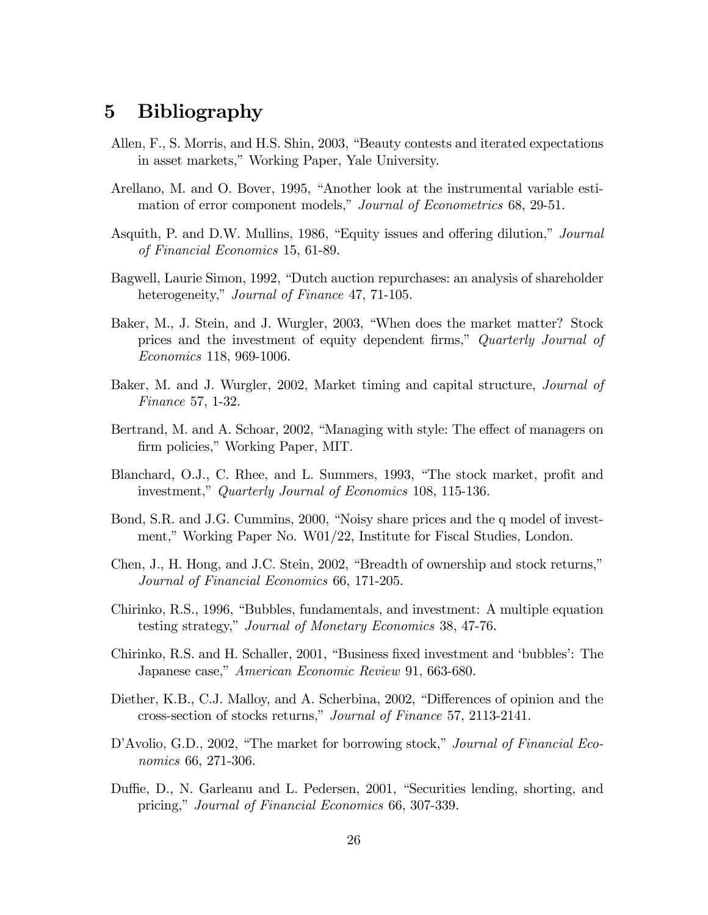## 5 Bibliography

- Allen,  $F<sub>1</sub>$ , S. Morris, and H.S. Shin, 2003, "Beauty contests and iterated expectations in asset markets," Working Paper, Yale University.
- Arellano, M. and O. Bover, 1995, "Another look at the instrumental variable estimation of error component models," Journal of Econometrics 68, 29-51.
- Asquith, P. and D.W. Mullins, 1986, "Equity issues and offering dilution," *Journal* of Financial Economics 15, 61-89.
- Bagwell, Laurie Simon, 1992, "Dutch auction repurchases: an analysis of shareholder heterogeneity," Journal of Finance 47, 71-105.
- Baker, M., J. Stein, and J. Wurgler, 2003, "When does the market matter? Stock prices and the investment of equity dependent firms," Quarterly Journal of Economics 118, 969-1006.
- Baker, M. and J. Wurgler, 2002, Market timing and capital structure, Journal of Finance 57, 1-32.
- Bertrand, M. and A. Schoar, 2002, "Managing with style: The effect of managers on firm policies," Working Paper, MIT.
- Blanchard, O.J., C. Rhee, and L. Summers, 1993, "The stock market, profit and investment," Quarterly Journal of Economics 108, 115-136.
- Bond, S.R. and J.G. Cummins, 2000, "Noisy share prices and the q model of investment," Working Paper No. W01/22, Institute for Fiscal Studies, London.
- Chen, J., H. Hong, and J.C. Stein, 2002, "Breadth of ownership and stock returns," Journal of Financial Economics 66, 171-205.
- Chirinko, R.S., 1996, "Bubbles, fundamentals, and investment: A multiple equation testing strategy," Journal of Monetary Economics 38, 47-76.
- Chirinko, R.S. and H. Schaller, 2001, "Business fixed investment and 'bubbles': The Japanese case," American Economic Review 91, 663-680.
- Diether, K.B., C.J. Malloy, and A. Scherbina, 2002, "Differences of opinion and the cross-section of stocks returns," Journal of Finance 57, 2113-2141.
- D'Avolio, G.D., 2002, "The market for borrowing stock," *Journal of Financial Eco*nomics 66, 271-306.
- Duffie, D., N. Garleanu and L. Pedersen, 2001, "Securities lending, shorting, and pricing," Journal of Financial Economics 66, 307-339.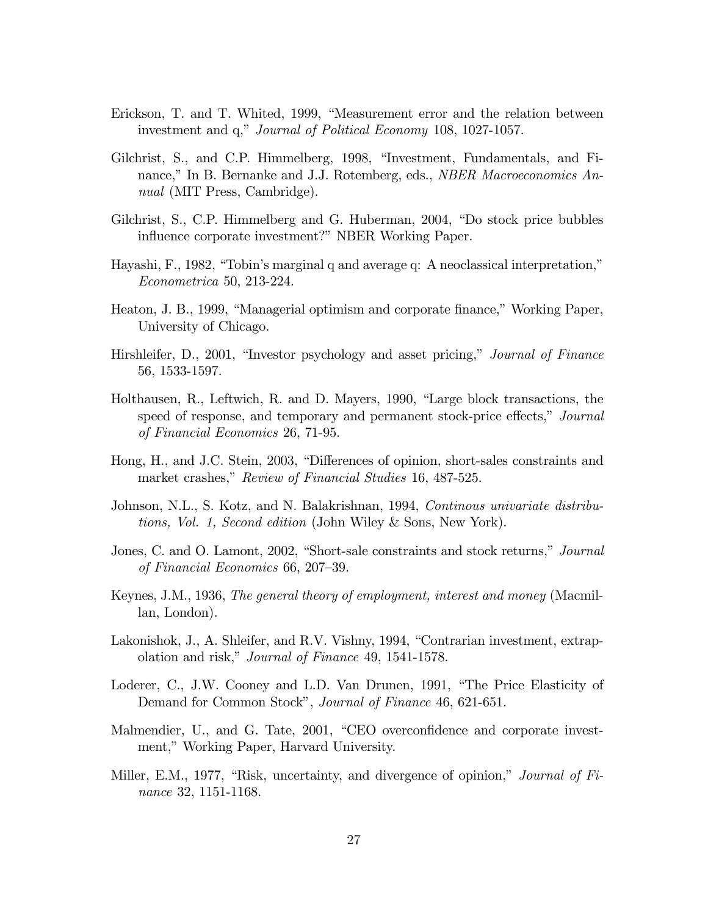- Erickson, T. and T. Whited, 1999, "Measurement error and the relation between investment and q," *Journal of Political Economy* 108, 1027-1057.
- Gilchrist, S., and C.P. Himmelberg, 1998, "Investment, Fundamentals, and Finance," In B. Bernanke and J.J. Rotemberg, eds., *NBER Macroeconomics An*nual (MIT Press, Cambridge).
- Gilchrist, S., C.P. Himmelberg and G. Huberman, 2004, "Do stock price bubbles influence corporate investment?" NBER Working Paper.
- Hayashi, F., 1982, "Tobin's marginal q and average q: A neoclassical interpretation," Econometrica 50, 213-224.
- Heaton, J. B., 1999, "Managerial optimism and corporate finance," Working Paper, University of Chicago.
- Hirshleifer, D., 2001, "Investor psychology and asset pricing," *Journal of Finance* 56, 1533-1597.
- Holthausen, R., Leftwich, R. and D. Mayers, 1990, "Large block transactions, the speed of response, and temporary and permanent stock-price effects," Journal of Financial Economics 26, 71-95.
- Hong, H., and J.C. Stein, 2003, "Differences of opinion, short-sales constraints and market crashes," Review of Financial Studies 16, 487-525.
- Johnson, N.L., S. Kotz, and N. Balakrishnan, 1994, *Continous univariate distribu*tions, Vol. 1, Second edition (John Wiley & Sons, New York).
- Jones, C. and O. Lamont, 2002, "Short-sale constraints and stock returns," Journal of Financial Economics 66, 207–39.
- Keynes, J.M., 1936, The general theory of employment, interest and money (Macmillan, London).
- Lakonishok, J., A. Shleifer, and R.V. Vishny, 1994, "Contrarian investment, extrapolation and risk," Journal of Finance 49, 1541-1578.
- Loderer, C., J.W. Cooney and L.D. Van Drunen, 1991, "The Price Elasticity of Demand for Common Stock", Journal of Finance 46, 621-651.
- Malmendier, U., and G. Tate, 2001, "CEO overconfidence and corporate investment," Working Paper, Harvard University.
- Miller, E.M., 1977, "Risk, uncertainty, and divergence of opinion," *Journal of Fi*nance 32, 1151-1168.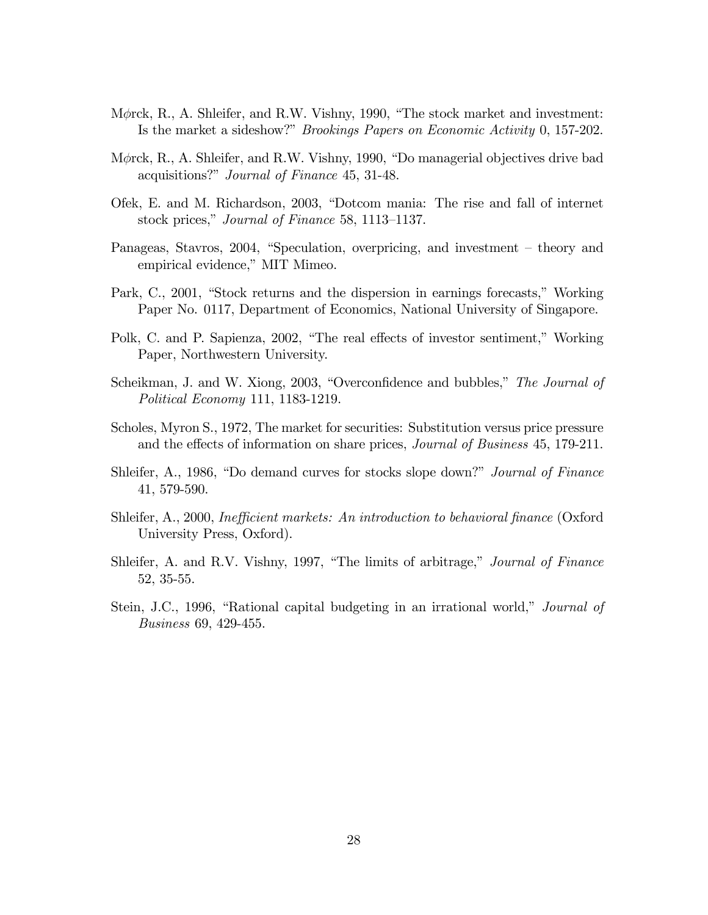- M $\phi$ rck, R., A. Shleifer, and R.W. Vishny, 1990, "The stock market and investment: Is the market a sideshow?" *Brookings Papers on Economic Activity* 0, 157-202.
- M $\phi$ rck, R., A. Shleifer, and R.W. Vishny, 1990, "Do managerial objectives drive bad acquisitions?" *Journal of Finance* 45, 31-48.
- Ofek, E. and M. Richardson, 2003, "Dotcom mania: The rise and fall of internet stock prices," Journal of Finance 58, 1113–1137.
- Panageas, Stavros, 2004, "Speculation, overpricing, and investment theory and empirical evidence," MIT Mimeo.
- Park, C., 2001, "Stock returns and the dispersion in earnings forecasts," Working Paper No. 0117, Department of Economics, National University of Singapore.
- Polk, C. and P. Sapienza, 2002, "The real effects of investor sentiment," Working Paper, Northwestern University.
- Scheikman, J. and W. Xiong, 2003, "Overconfidence and bubbles," The Journal of Political Economy 111, 1183-1219.
- Scholes, Myron S., 1972, The market for securities: Substitution versus price pressure and the effects of information on share prices, *Journal of Business* 45, 179-211.
- Shleifer, A., 1986, "Do demand curves for stocks slope down?" *Journal of Finance* 41, 579-590.
- Shleifer, A., 2000, *Inefficient markets: An introduction to behavioral finance* (Oxford University Press, Oxford).
- Shleifer, A. and R.V. Vishny, 1997, "The limits of arbitrage," *Journal of Finance* 52, 35-55.
- Stein, J.C., 1996, "Rational capital budgeting in an irrational world," *Journal of* Business 69, 429-455.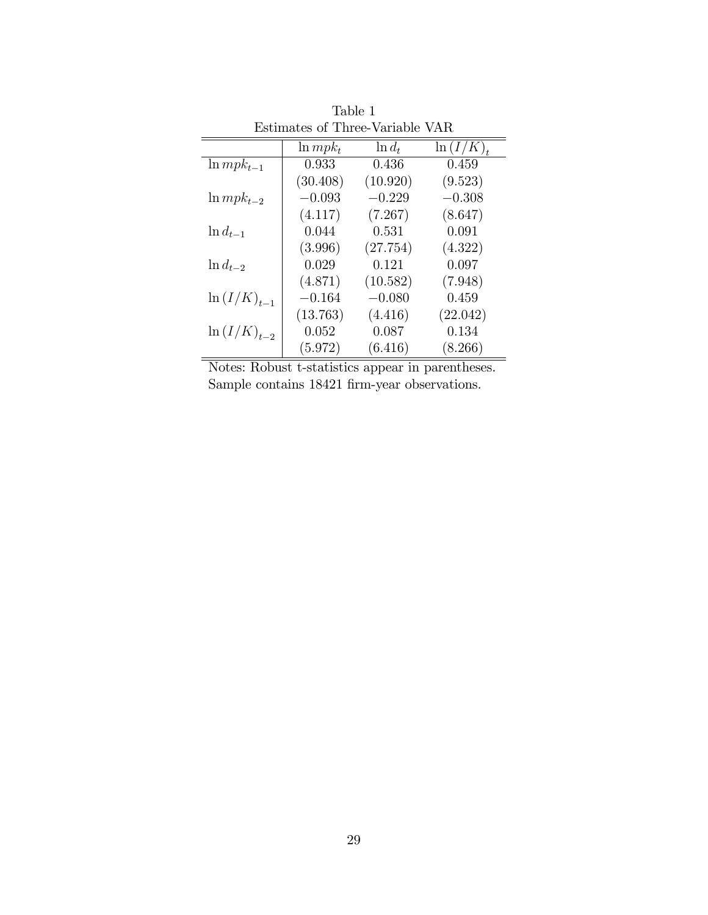| Estimates of Three-Variable VAR |               |           |               |  |  |  |
|---------------------------------|---------------|-----------|---------------|--|--|--|
|                                 | $\ln m p k_t$ | $\ln d_t$ | $\ln (I/K)_t$ |  |  |  |
| $\ln mpk_{t-1}$                 | 0.933         | 0.436     | 0.459         |  |  |  |
|                                 | (30.408)      | (10.920)  | (9.523)       |  |  |  |
| $\ln m p k_{t-2}$               | $-0.093$      | $-0.229$  | $-0.308$      |  |  |  |
|                                 | (4.117)       | (7.267)   | (8.647)       |  |  |  |
| $\ln d_{t-1}$                   | 0.044         | 0.531     | 0.091         |  |  |  |
|                                 | (3.996)       | (27.754)  | (4.322)       |  |  |  |
| $\ln d_{t-2}$                   | 0.029         | 0.121     | 0.097         |  |  |  |
|                                 | (4.871)       | (10.582)  | (7.948)       |  |  |  |
| $\ln (I/K)_{t-1}$               | $-0.164$      | $-0.080$  | 0.459         |  |  |  |
|                                 | (13.763)      | (4.416)   | (22.042)      |  |  |  |
| $\ln (I/K)_{t=2}$               | 0.052         | 0.087     | 0.134         |  |  |  |
|                                 | (5.972)       | (6.416)   | (8.266)       |  |  |  |

Table 1

Notes: Robust t-statistics appear in parentheses. Sample contains 18421 firm-year observations.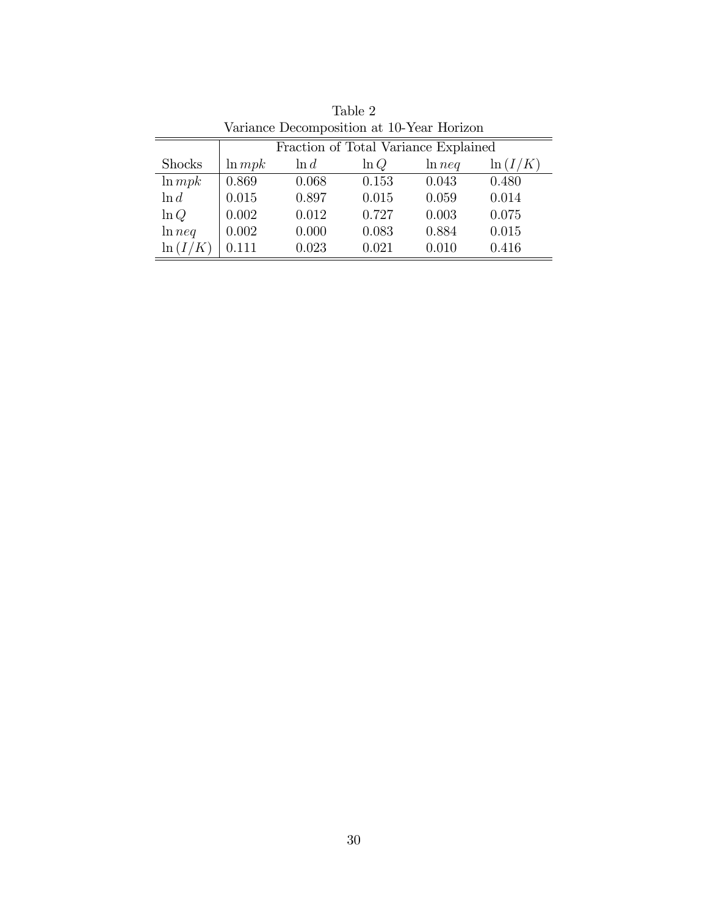| $\alpha$ and $\beta$ and $\beta$ and $\alpha$ and $\alpha$ and $\alpha$ and $\beta$ and $\beta$ and $\beta$ and $\beta$ and $\beta$ and $\beta$ and $\beta$ and $\beta$ and $\beta$ and $\beta$ and $\beta$ and $\beta$ and $\beta$ and $\beta$ and $\beta$ and $\beta$ and $\beta$ and $\beta$ and $\beta$ |                                      |         |         |           |             |  |  |
|-------------------------------------------------------------------------------------------------------------------------------------------------------------------------------------------------------------------------------------------------------------------------------------------------------------|--------------------------------------|---------|---------|-----------|-------------|--|--|
|                                                                                                                                                                                                                                                                                                             | Fraction of Total Variance Explained |         |         |           |             |  |  |
| <b>Shocks</b>                                                                                                                                                                                                                                                                                               | $\ln mpk$                            | $\ln d$ | $\ln Q$ | $\ln neq$ | $\ln (I/K)$ |  |  |
| $\ln mpk$                                                                                                                                                                                                                                                                                                   | 0.869                                | 0.068   | 0.153   | 0.043     | 0.480       |  |  |
| $\ln d$                                                                                                                                                                                                                                                                                                     | 0.015                                | 0.897   | 0.015   | 0.059     | 0.014       |  |  |
| $\ln Q$                                                                                                                                                                                                                                                                                                     | 0.002                                | 0.012   | 0.727   | 0.003     | 0.075       |  |  |
| ln neq                                                                                                                                                                                                                                                                                                      | 0.002                                | 0.000   | 0.083   | 0.884     | 0.015       |  |  |
| $\ln (I/K)$                                                                                                                                                                                                                                                                                                 | 0.111                                | 0.023   | 0.021   | 0.010     | 0.416       |  |  |

Table 2 Variance Decomposition at 10-Year Horizon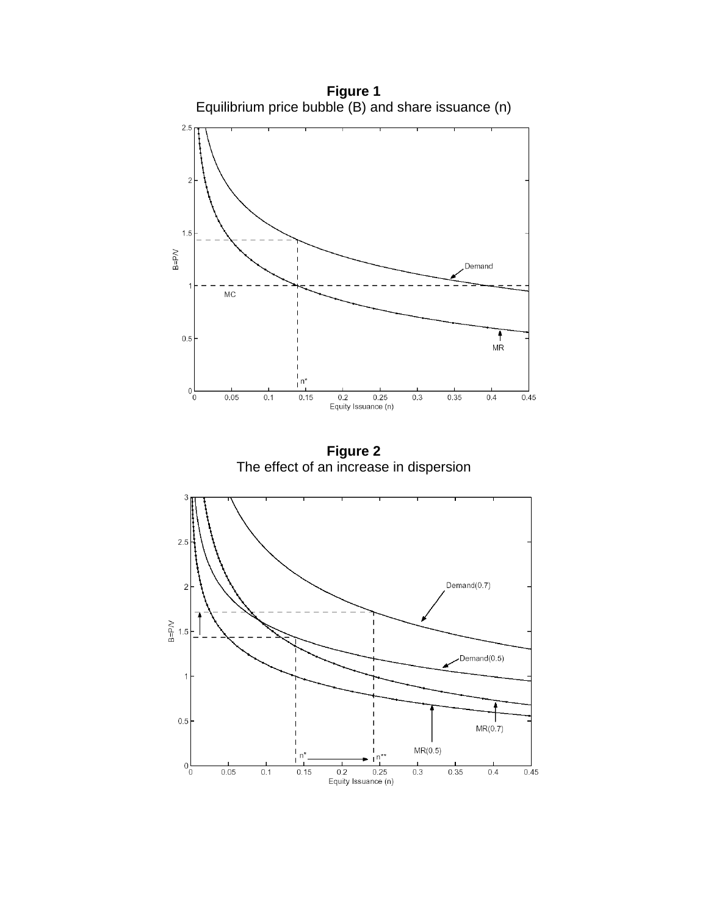

**Figure 1**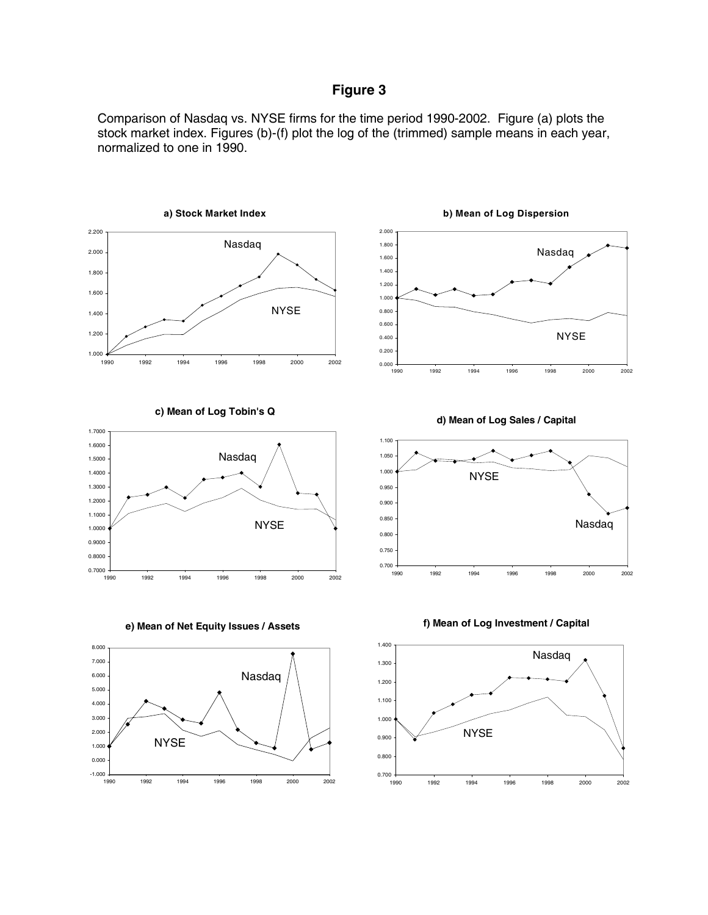### **Figure 3**

Comparison of Nasdaq vs. NYSE firms for the time period 1990-2002. Figure (a) plots the stock market index. Figures (b)-(f) plot the log of the (trimmed) sample means in each year, normalized to one in 1990.

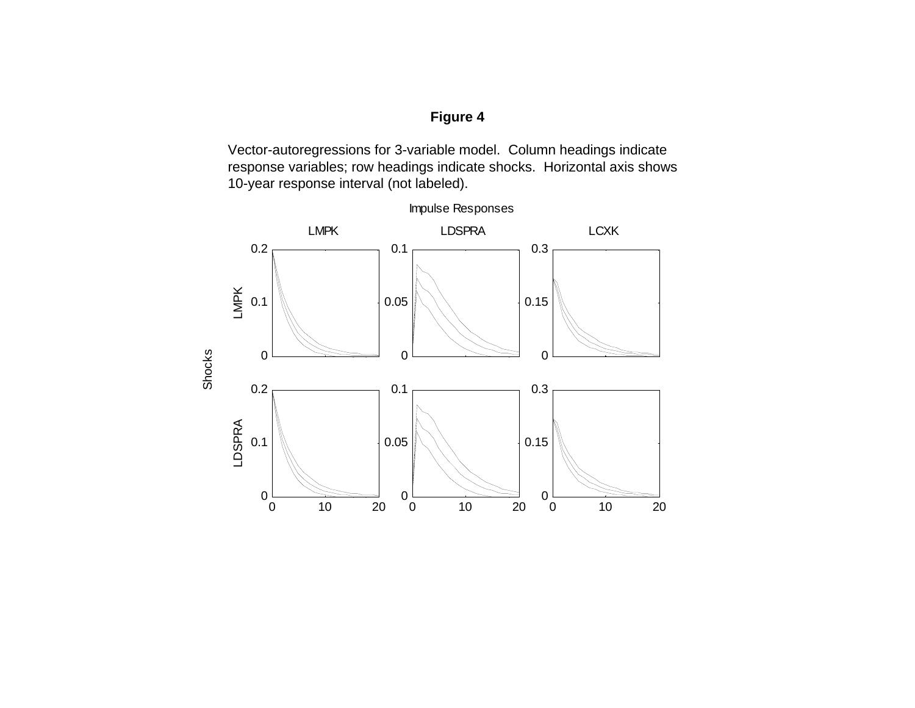### **Figure 4**

Vector-autoregressions for 3-variable model. Column headings indicate response variables; row headings indicate shocks. Horizontal axis shows 10-year response interval (not labeled).